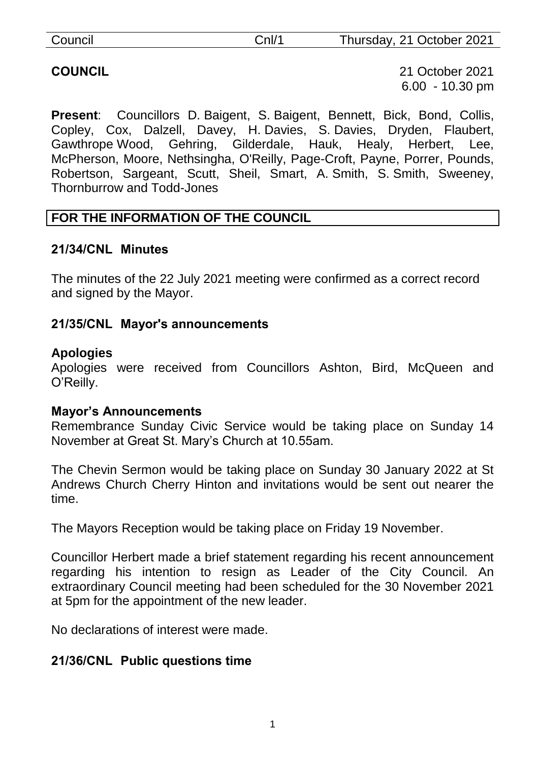| Council | Cnl/1 | Thursday, 21 October 2021 |
|---------|-------|---------------------------|
|         |       |                           |

**COUNCIL** 21 October 2021 6.00 - 10.30 pm

**Present**: Councillors D. Baigent, S. Baigent, Bennett, Bick, Bond, Collis, Copley, Cox, Dalzell, Davey, H. Davies, S. Davies, Dryden, Flaubert, Gawthrope Wood, Gehring, Gilderdale, Hauk, Healy, Herbert, Lee, McPherson, Moore, Nethsingha, O'Reilly, Page-Croft, Payne, Porrer, Pounds, Robertson, Sargeant, Scutt, Sheil, Smart, A. Smith, S. Smith, Sweeney, Thornburrow and Todd-Jones

# **FOR THE INFORMATION OF THE COUNCIL**

#### **21/34/CNL Minutes**

The minutes of the 22 July 2021 meeting were confirmed as a correct record and signed by the Mayor.

#### **21/35/CNL Mayor's announcements**

#### **Apologies**

Apologies were received from Councillors Ashton, Bird, McQueen and O'Reilly.

#### **Mayor's Announcements**

Remembrance Sunday Civic Service would be taking place on Sunday 14 November at Great St. Mary's Church at 10.55am.

The Chevin Sermon would be taking place on Sunday 30 January 2022 at St Andrews Church Cherry Hinton and invitations would be sent out nearer the time.

The Mayors Reception would be taking place on Friday 19 November.

Councillor Herbert made a brief statement regarding his recent announcement regarding his intention to resign as Leader of the City Council. An extraordinary Council meeting had been scheduled for the 30 November 2021 at 5pm for the appointment of the new leader.

No declarations of interest were made.

## **21/36/CNL Public questions time**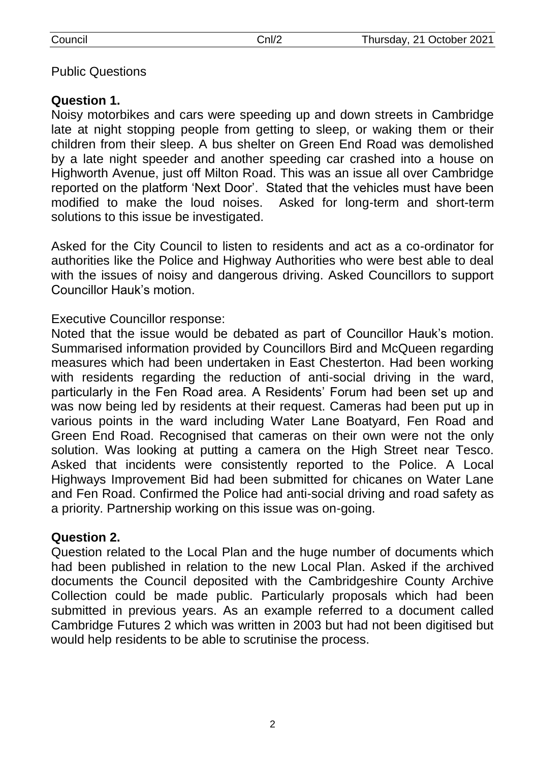#### Public Questions

# **Question 1.**

Noisy motorbikes and cars were speeding up and down streets in Cambridge late at night stopping people from getting to sleep, or waking them or their children from their sleep. A bus shelter on Green End Road was demolished by a late night speeder and another speeding car crashed into a house on Highworth Avenue, just off Milton Road. This was an issue all over Cambridge reported on the platform 'Next Door'. Stated that the vehicles must have been modified to make the loud noises. Asked for long-term and short-term solutions to this issue be investigated.

Asked for the City Council to listen to residents and act as a co-ordinator for authorities like the Police and Highway Authorities who were best able to deal with the issues of noisy and dangerous driving. Asked Councillors to support Councillor Hauk's motion.

Executive Councillor response:

Noted that the issue would be debated as part of Councillor Hauk's motion. Summarised information provided by Councillors Bird and McQueen regarding measures which had been undertaken in East Chesterton. Had been working with residents regarding the reduction of anti-social driving in the ward, particularly in the Fen Road area. A Residents' Forum had been set up and was now being led by residents at their request. Cameras had been put up in various points in the ward including Water Lane Boatyard, Fen Road and Green End Road. Recognised that cameras on their own were not the only solution. Was looking at putting a camera on the High Street near Tesco. Asked that incidents were consistently reported to the Police. A Local Highways Improvement Bid had been submitted for chicanes on Water Lane and Fen Road. Confirmed the Police had anti-social driving and road safety as a priority. Partnership working on this issue was on-going.

## **Question 2.**

Question related to the Local Plan and the huge number of documents which had been published in relation to the new Local Plan. Asked if the archived documents the Council deposited with the Cambridgeshire County Archive Collection could be made public. Particularly proposals which had been submitted in previous years. As an example referred to a document called Cambridge Futures 2 which was written in 2003 but had not been digitised but would help residents to be able to scrutinise the process.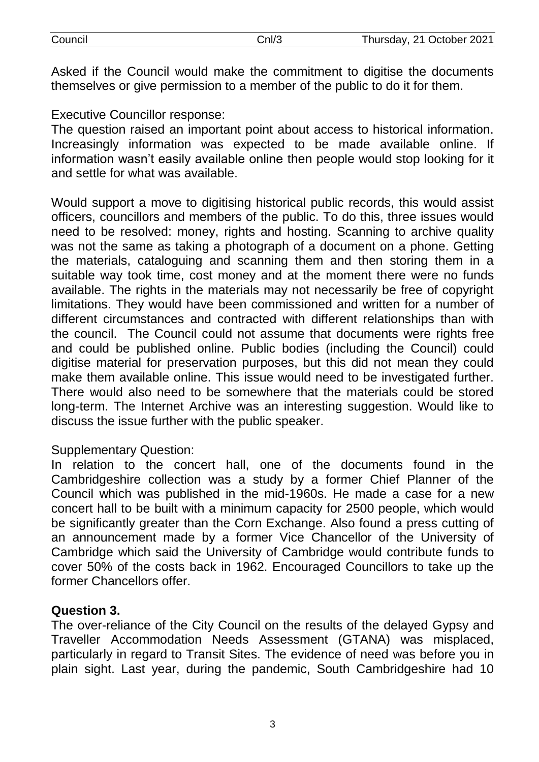| puncil |  |
|--------|--|
|        |  |

Asked if the Council would make the commitment to digitise the documents themselves or give permission to a member of the public to do it for them.

Executive Councillor response:

The question raised an important point about access to historical information. Increasingly information was expected to be made available online. If information wasn't easily available online then people would stop looking for it and settle for what was available.

Would support a move to digitising historical public records, this would assist officers, councillors and members of the public. To do this, three issues would need to be resolved: money, rights and hosting. Scanning to archive quality was not the same as taking a photograph of a document on a phone. Getting the materials, cataloguing and scanning them and then storing them in a suitable way took time, cost money and at the moment there were no funds available. The rights in the materials may not necessarily be free of copyright limitations. They would have been commissioned and written for a number of different circumstances and contracted with different relationships than with the council. The Council could not assume that documents were rights free and could be published online. Public bodies (including the Council) could digitise material for preservation purposes, but this did not mean they could make them available online. This issue would need to be investigated further. There would also need to be somewhere that the materials could be stored long-term. The Internet Archive was an interesting suggestion. Would like to discuss the issue further with the public speaker.

#### Supplementary Question:

In relation to the concert hall, one of the documents found in the Cambridgeshire collection was a study by a former Chief Planner of the Council which was published in the mid-1960s. He made a case for a new concert hall to be built with a minimum capacity for 2500 people, which would be significantly greater than the Corn Exchange. Also found a press cutting of an announcement made by a former Vice Chancellor of the University of Cambridge which said the University of Cambridge would contribute funds to cover 50% of the costs back in 1962. Encouraged Councillors to take up the former Chancellors offer.

## **Question 3.**

The over-reliance of the City Council on the results of the delayed Gypsy and Traveller Accommodation Needs Assessment (GTANA) was misplaced, particularly in regard to Transit Sites. The evidence of need was before you in plain sight. Last year, during the pandemic, South Cambridgeshire had 10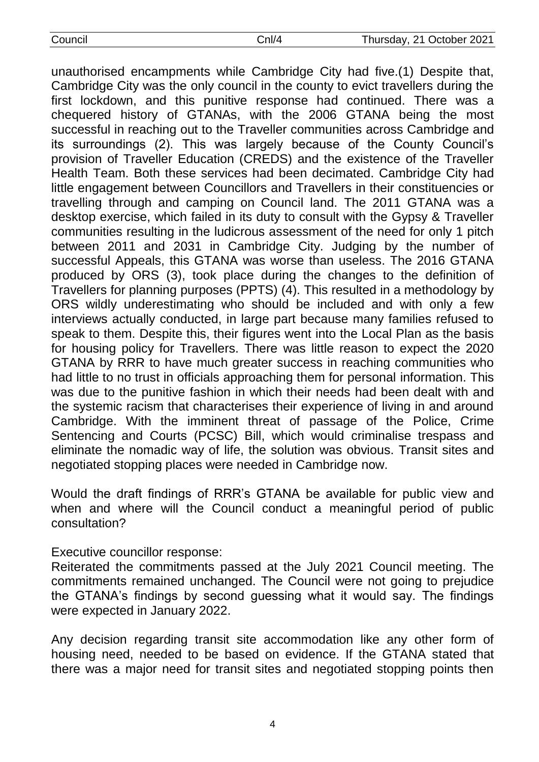| council: |  |
|----------|--|
|          |  |

unauthorised encampments while Cambridge City had five.(1) Despite that, Cambridge City was the only council in the county to evict travellers during the first lockdown, and this punitive response had continued. There was a chequered history of GTANAs, with the 2006 GTANA being the most successful in reaching out to the Traveller communities across Cambridge and its surroundings (2). This was largely because of the County Council's provision of Traveller Education (CREDS) and the existence of the Traveller Health Team. Both these services had been decimated. Cambridge City had little engagement between Councillors and Travellers in their constituencies or travelling through and camping on Council land. The 2011 GTANA was a desktop exercise, which failed in its duty to consult with the Gypsy & Traveller communities resulting in the ludicrous assessment of the need for only 1 pitch between 2011 and 2031 in Cambridge City. Judging by the number of successful Appeals, this GTANA was worse than useless. The 2016 GTANA produced by ORS (3), took place during the changes to the definition of Travellers for planning purposes (PPTS) (4). This resulted in a methodology by ORS wildly underestimating who should be included and with only a few interviews actually conducted, in large part because many families refused to speak to them. Despite this, their figures went into the Local Plan as the basis for housing policy for Travellers. There was little reason to expect the 2020 GTANA by RRR to have much greater success in reaching communities who had little to no trust in officials approaching them for personal information. This was due to the punitive fashion in which their needs had been dealt with and the systemic racism that characterises their experience of living in and around Cambridge. With the imminent threat of passage of the Police, Crime Sentencing and Courts (PCSC) Bill, which would criminalise trespass and eliminate the nomadic way of life, the solution was obvious. Transit sites and negotiated stopping places were needed in Cambridge now.

Would the draft findings of RRR's GTANA be available for public view and when and where will the Council conduct a meaningful period of public consultation?

Executive councillor response:

Reiterated the commitments passed at the July 2021 Council meeting. The commitments remained unchanged. The Council were not going to prejudice the GTANA's findings by second guessing what it would say. The findings were expected in January 2022.

Any decision regarding transit site accommodation like any other form of housing need, needed to be based on evidence. If the GTANA stated that there was a major need for transit sites and negotiated stopping points then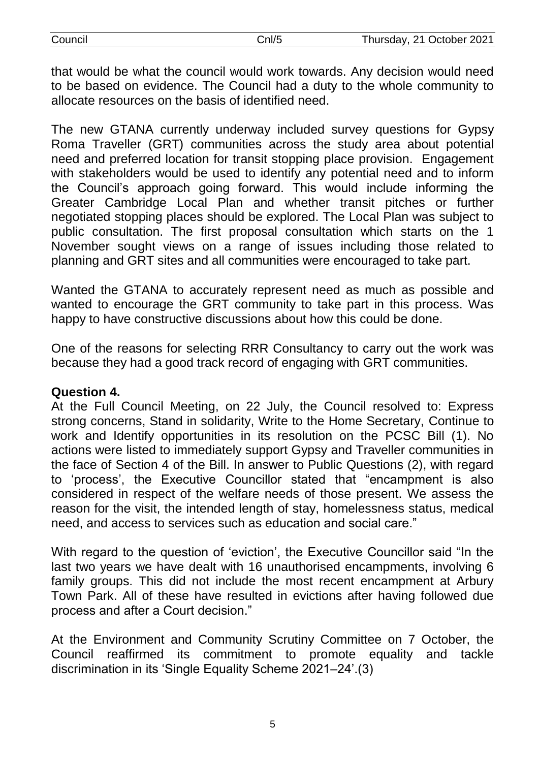| Council | Cnl/5 | Thursday, 21 October 2021 |
|---------|-------|---------------------------|
|         |       |                           |

that would be what the council would work towards. Any decision would need to be based on evidence. The Council had a duty to the whole community to allocate resources on the basis of identified need.

The new GTANA currently underway included survey questions for Gypsy Roma Traveller (GRT) communities across the study area about potential need and preferred location for transit stopping place provision. Engagement with stakeholders would be used to identify any potential need and to inform the Council's approach going forward. This would include informing the Greater Cambridge Local Plan and whether transit pitches or further negotiated stopping places should be explored. The Local Plan was subject to public consultation. The first proposal consultation which starts on the 1 November sought views on a range of issues including those related to planning and GRT sites and all communities were encouraged to take part.

Wanted the GTANA to accurately represent need as much as possible and wanted to encourage the GRT community to take part in this process. Was happy to have constructive discussions about how this could be done.

One of the reasons for selecting RRR Consultancy to carry out the work was because they had a good track record of engaging with GRT communities.

#### **Question 4.**

At the Full Council Meeting, on 22 July, the Council resolved to: Express strong concerns, Stand in solidarity, Write to the Home Secretary, Continue to work and Identify opportunities in its resolution on the PCSC Bill (1). No actions were listed to immediately support Gypsy and Traveller communities in the face of Section 4 of the Bill. In answer to Public Questions (2), with regard to 'process', the Executive Councillor stated that "encampment is also considered in respect of the welfare needs of those present. We assess the reason for the visit, the intended length of stay, homelessness status, medical need, and access to services such as education and social care."

With regard to the question of 'eviction', the Executive Councillor said "In the last two years we have dealt with 16 unauthorised encampments, involving 6 family groups. This did not include the most recent encampment at Arbury Town Park. All of these have resulted in evictions after having followed due process and after a Court decision."

At the Environment and Community Scrutiny Committee on 7 October, the Council reaffirmed its commitment to promote equality and tackle discrimination in its 'Single Equality Scheme 2021–24'.(3)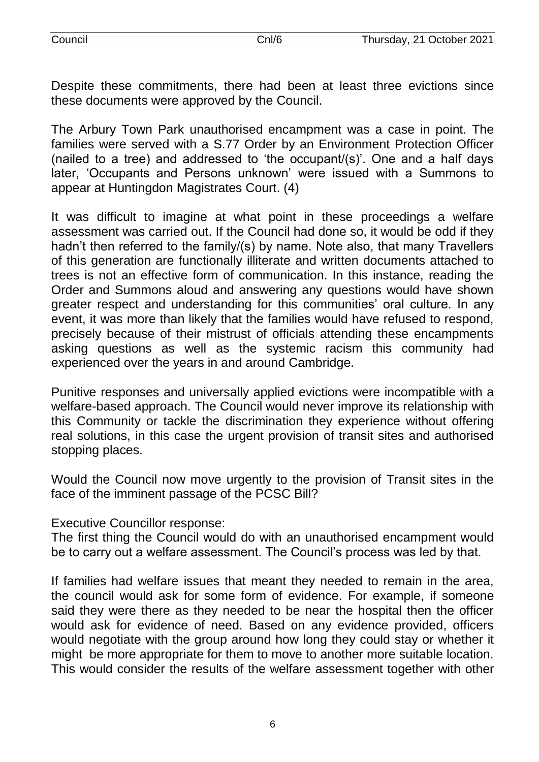Despite these commitments, there had been at least three evictions since these documents were approved by the Council.

The Arbury Town Park unauthorised encampment was a case in point. The families were served with a S.77 Order by an Environment Protection Officer (nailed to a tree) and addressed to 'the occupant/(s)'. One and a half days later, 'Occupants and Persons unknown' were issued with a Summons to appear at Huntingdon Magistrates Court. (4)

It was difficult to imagine at what point in these proceedings a welfare assessment was carried out. If the Council had done so, it would be odd if they hadn't then referred to the family/(s) by name. Note also, that many Travellers of this generation are functionally illiterate and written documents attached to trees is not an effective form of communication. In this instance, reading the Order and Summons aloud and answering any questions would have shown greater respect and understanding for this communities' oral culture. In any event, it was more than likely that the families would have refused to respond, precisely because of their mistrust of officials attending these encampments asking questions as well as the systemic racism this community had experienced over the years in and around Cambridge.

Punitive responses and universally applied evictions were incompatible with a welfare-based approach. The Council would never improve its relationship with this Community or tackle the discrimination they experience without offering real solutions, in this case the urgent provision of transit sites and authorised stopping places.

Would the Council now move urgently to the provision of Transit sites in the face of the imminent passage of the PCSC Bill?

Executive Councillor response:

The first thing the Council would do with an unauthorised encampment would be to carry out a welfare assessment. The Council's process was led by that.

If families had welfare issues that meant they needed to remain in the area, the council would ask for some form of evidence. For example, if someone said they were there as they needed to be near the hospital then the officer would ask for evidence of need. Based on any evidence provided, officers would negotiate with the group around how long they could stay or whether it might be more appropriate for them to move to another more suitable location. This would consider the results of the welfare assessment together with other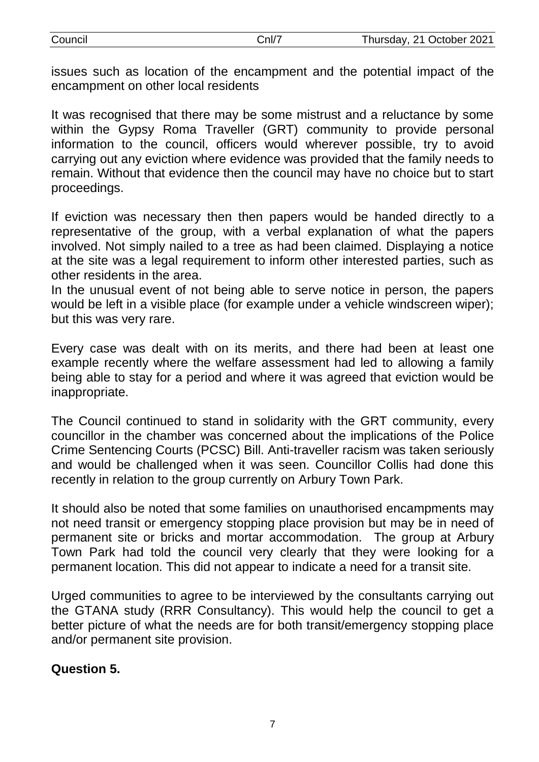| Council | Cnl∕ | Thursday, 21 October 2021 |
|---------|------|---------------------------|
|         |      |                           |

issues such as location of the encampment and the potential impact of the encampment on other local residents

It was recognised that there may be some mistrust and a reluctance by some within the Gypsy Roma Traveller (GRT) community to provide personal information to the council, officers would wherever possible, try to avoid carrying out any eviction where evidence was provided that the family needs to remain. Without that evidence then the council may have no choice but to start proceedings.

If eviction was necessary then then papers would be handed directly to a representative of the group, with a verbal explanation of what the papers involved. Not simply nailed to a tree as had been claimed. Displaying a notice at the site was a legal requirement to inform other interested parties, such as other residents in the area.

In the unusual event of not being able to serve notice in person, the papers would be left in a visible place (for example under a vehicle windscreen wiper); but this was very rare.

Every case was dealt with on its merits, and there had been at least one example recently where the welfare assessment had led to allowing a family being able to stay for a period and where it was agreed that eviction would be inappropriate.

The Council continued to stand in solidarity with the GRT community, every councillor in the chamber was concerned about the implications of the Police Crime Sentencing Courts (PCSC) Bill. Anti-traveller racism was taken seriously and would be challenged when it was seen. Councillor Collis had done this recently in relation to the group currently on Arbury Town Park.

It should also be noted that some families on unauthorised encampments may not need transit or emergency stopping place provision but may be in need of permanent site or bricks and mortar accommodation. The group at Arbury Town Park had told the council very clearly that they were looking for a permanent location. This did not appear to indicate a need for a transit site.

Urged communities to agree to be interviewed by the consultants carrying out the GTANA study (RRR Consultancy). This would help the council to get a better picture of what the needs are for both transit/emergency stopping place and/or permanent site provision.

#### **Question 5.**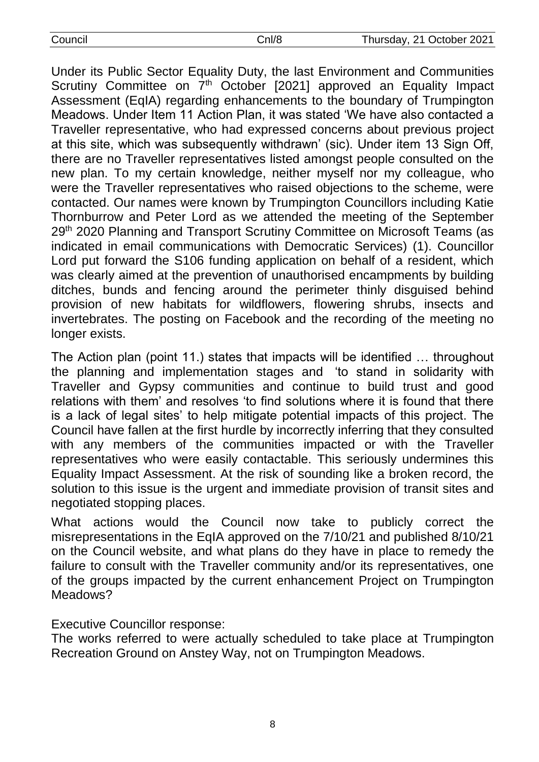| Council |
|---------|
|         |

Under its Public Sector Equality Duty, the last Environment and Communities Scrutiny Committee on 7<sup>th</sup> October [2021] approved an Equality Impact Assessment (EqIA) regarding enhancements to the boundary of Trumpington Meadows. Under Item 11 Action Plan, it was stated 'We have also contacted a Traveller representative, who had expressed concerns about previous project at this site, which was subsequently withdrawn' (sic). Under item 13 Sign Off, there are no Traveller representatives listed amongst people consulted on the new plan. To my certain knowledge, neither myself nor my colleague, who were the Traveller representatives who raised objections to the scheme, were contacted. Our names were known by Trumpington Councillors including Katie Thornburrow and Peter Lord as we attended the meeting of the September 29<sup>th</sup> 2020 Planning and Transport Scrutiny Committee on Microsoft Teams (as indicated in email communications with Democratic Services) (1). Councillor Lord put forward the S106 funding application on behalf of a resident, which was clearly aimed at the prevention of unauthorised encampments by building ditches, bunds and fencing around the perimeter thinly disguised behind provision of new habitats for wildflowers, flowering shrubs, insects and invertebrates. The posting on Facebook and the recording of the meeting no longer exists.

The Action plan (point 11.) states that impacts will be identified … throughout the planning and implementation stages and 'to stand in solidarity with Traveller and Gypsy communities and continue to build trust and good relations with them' and resolves 'to find solutions where it is found that there is a lack of legal sites' to help mitigate potential impacts of this project. The Council have fallen at the first hurdle by incorrectly inferring that they consulted with any members of the communities impacted or with the Traveller representatives who were easily contactable. This seriously undermines this Equality Impact Assessment. At the risk of sounding like a broken record, the solution to this issue is the urgent and immediate provision of transit sites and negotiated stopping places.

What actions would the Council now take to publicly correct the misrepresentations in the EqIA approved on the 7/10/21 and published 8/10/21 on the Council website, and what plans do they have in place to remedy the failure to consult with the Traveller community and/or its representatives, one of the groups impacted by the current enhancement Project on Trumpington Meadows?

## Executive Councillor response:

The works referred to were actually scheduled to take place at Trumpington Recreation Ground on Anstey Way, not on Trumpington Meadows.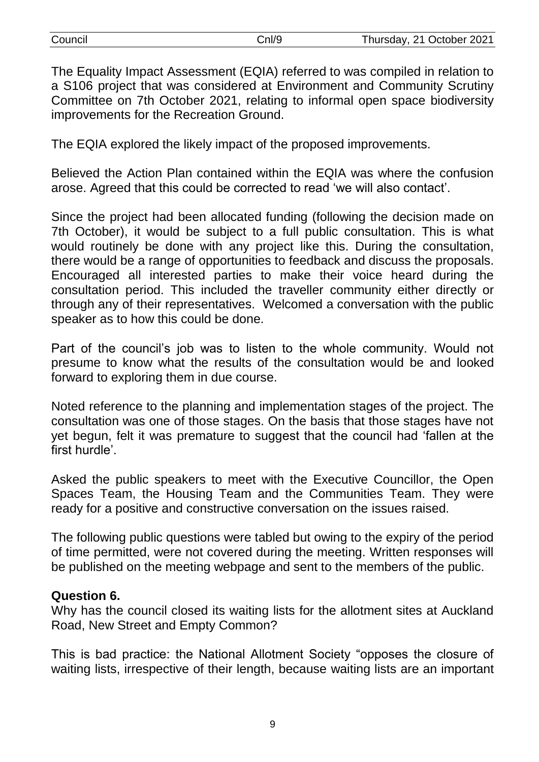The Equality Impact Assessment (EQIA) referred to was compiled in relation to a S106 project that was considered at Environment and Community Scrutiny Committee on 7th October 2021, relating to informal open space biodiversity improvements for the Recreation Ground.

The EQIA explored the likely impact of the proposed improvements.

Believed the Action Plan contained within the EQIA was where the confusion arose. Agreed that this could be corrected to read 'we will also contact'.

Since the project had been allocated funding (following the decision made on 7th October), it would be subject to a full public consultation. This is what would routinely be done with any project like this. During the consultation, there would be a range of opportunities to feedback and discuss the proposals. Encouraged all interested parties to make their voice heard during the consultation period. This included the traveller community either directly or through any of their representatives. Welcomed a conversation with the public speaker as to how this could be done.

Part of the council's job was to listen to the whole community. Would not presume to know what the results of the consultation would be and looked forward to exploring them in due course.

Noted reference to the planning and implementation stages of the project. The consultation was one of those stages. On the basis that those stages have not yet begun, felt it was premature to suggest that the council had 'fallen at the first hurdle'.

Asked the public speakers to meet with the Executive Councillor, the Open Spaces Team, the Housing Team and the Communities Team. They were ready for a positive and constructive conversation on the issues raised.

The following public questions were tabled but owing to the expiry of the period of time permitted, were not covered during the meeting. Written responses will be published on the meeting webpage and sent to the members of the public.

#### **Question 6.**

Why has the council closed its waiting lists for the allotment sites at Auckland Road, New Street and Empty Common?

This is bad practice: the National Allotment Society "opposes the closure of waiting lists, irrespective of their length, because waiting lists are an important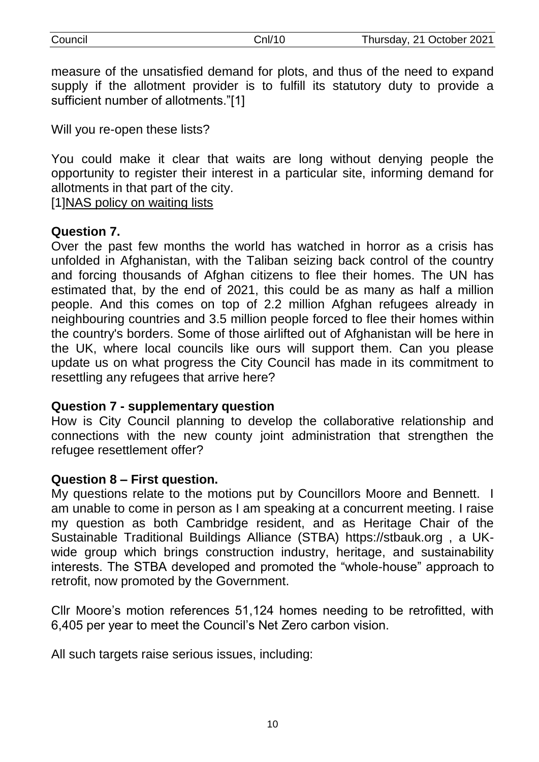measure of the unsatisfied demand for plots, and thus of the need to expand supply if the allotment provider is to fulfill its statutory duty to provide a sufficient number of allotments."[1]

Will you re-open these lists?

You could make it clear that waits are long without denying people the opportunity to register their interest in a particular site, informing demand for allotments in that part of the city.

[1[\]NAS policy on waiting lists](https://protect-eu.mimecast.com/s/JZDWCNOQTjoK4Kf4WXOA?domain=nsalg.org.uk)

#### **Question 7.**

Over the past few months the world has watched in horror as a crisis has unfolded in Afghanistan, with the Taliban seizing back control of the country and forcing thousands of Afghan citizens to flee their homes. The UN has estimated that, by the end of 2021, this could be as many as half a million people. And this comes on top of 2.2 million Afghan refugees already in neighbouring countries and 3.5 million people forced to flee their homes within the country's borders. Some of those airlifted out of Afghanistan will be here in the UK, where local councils like ours will support them. Can you please update us on what progress the City Council has made in its commitment to resettling any refugees that arrive here?

## **Question 7 - supplementary question**

How is City Council planning to develop the collaborative relationship and connections with the new county joint administration that strengthen the refugee resettlement offer?

## **Question 8 – First question.**

My questions relate to the motions put by Councillors Moore and Bennett. I am unable to come in person as I am speaking at a concurrent meeting. I raise my question as both Cambridge resident, and as Heritage Chair of the Sustainable Traditional Buildings Alliance (STBA) https://stbauk.org , a UKwide group which brings construction industry, heritage, and sustainability interests. The STBA developed and promoted the "whole-house" approach to retrofit, now promoted by the Government.

Cllr Moore's motion references 51,124 homes needing to be retrofitted, with 6,405 per year to meet the Council's Net Zero carbon vision.

All such targets raise serious issues, including: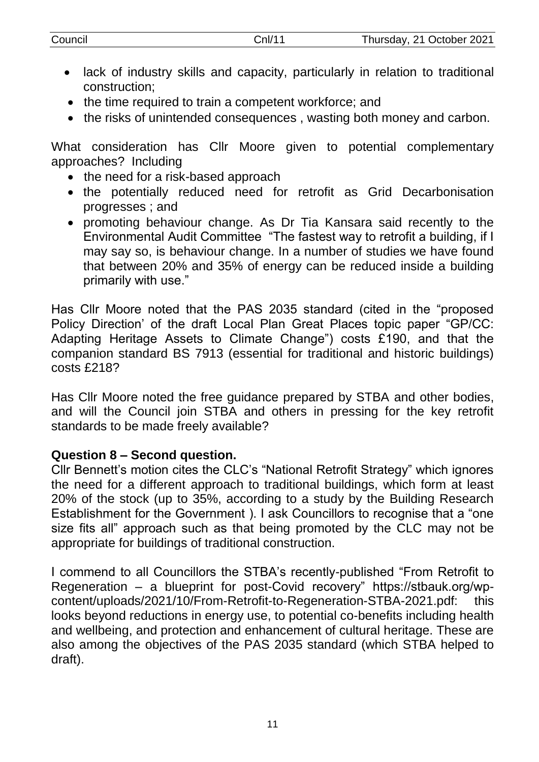| Council | CnI/11 | Thursday, 21 October 2021 |
|---------|--------|---------------------------|
|         |        |                           |

- lack of industry skills and capacity, particularly in relation to traditional construction;
- the time required to train a competent workforce; and
- the risks of unintended consequences, wasting both money and carbon.

What consideration has Cllr Moore given to potential complementary approaches? Including

- the need for a risk-based approach
- the potentially reduced need for retrofit as Grid Decarbonisation progresses ; and
- promoting behaviour change. As Dr Tia Kansara said recently to the Environmental Audit Committee "The fastest way to retrofit a building, if I may say so, is behaviour change. In a number of studies we have found that between 20% and 35% of energy can be reduced inside a building primarily with use."

Has Cllr Moore noted that the PAS 2035 standard (cited in the "proposed Policy Direction' of the draft Local Plan Great Places topic paper "GP/CC: Adapting Heritage Assets to Climate Change") costs £190, and that the companion standard BS 7913 (essential for traditional and historic buildings) costs £218?

Has Cllr Moore noted the free guidance prepared by STBA and other bodies, and will the Council join STBA and others in pressing for the key retrofit standards to be made freely available?

## **Question 8 – Second question.**

Cllr Bennett's motion cites the CLC's "National Retrofit Strategy" which ignores the need for a different approach to traditional buildings, which form at least 20% of the stock (up to 35%, according to a study by the Building Research Establishment for the Government ). I ask Councillors to recognise that a "one size fits all" approach such as that being promoted by the CLC may not be appropriate for buildings of traditional construction.

I commend to all Councillors the STBA's recently-published "From Retrofit to Regeneration – a blueprint for post-Covid recovery" https://stbauk.org/wpcontent/uploads/2021/10/From-Retrofit-to-Regeneration-STBA-2021.pdf: this looks beyond reductions in energy use, to potential co-benefits including health and wellbeing, and protection and enhancement of cultural heritage. These are also among the objectives of the PAS 2035 standard (which STBA helped to draft).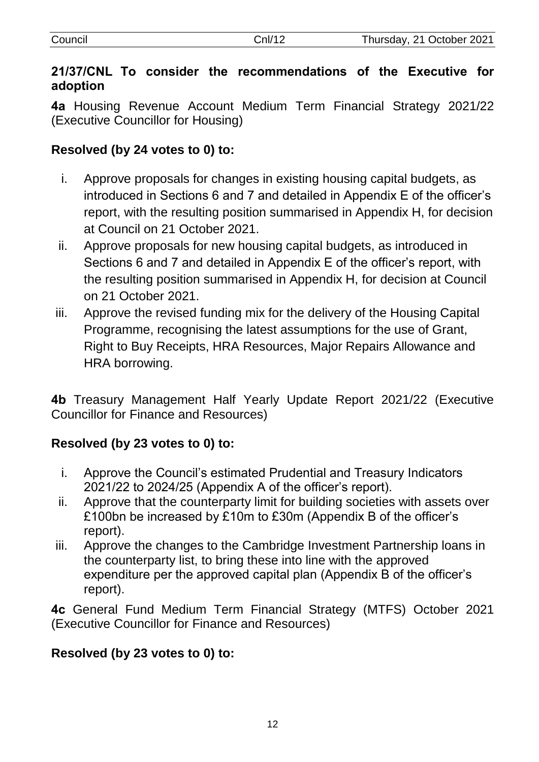| Council | Cnl/12 | Thursday, 21 October 2021 |
|---------|--------|---------------------------|
|         |        |                           |

# **21/37/CNL To consider the recommendations of the Executive for adoption**

**4a** Housing Revenue Account Medium Term Financial Strategy 2021/22 (Executive Councillor for Housing)

# **Resolved (by 24 votes to 0) to:**

- i. Approve proposals for changes in existing housing capital budgets, as introduced in Sections 6 and 7 and detailed in Appendix E of the officer's report, with the resulting position summarised in Appendix H, for decision at Council on 21 October 2021.
- ii. Approve proposals for new housing capital budgets, as introduced in Sections 6 and 7 and detailed in Appendix E of the officer's report, with the resulting position summarised in Appendix H, for decision at Council on 21 October 2021.
- iii. Approve the revised funding mix for the delivery of the Housing Capital Programme, recognising the latest assumptions for the use of Grant, Right to Buy Receipts, HRA Resources, Major Repairs Allowance and HRA borrowing.

**4b** Treasury Management Half Yearly Update Report 2021/22 (Executive Councillor for Finance and Resources)

# **Resolved (by 23 votes to 0) to:**

- i. Approve the Council's estimated Prudential and Treasury Indicators 2021/22 to 2024/25 (Appendix A of the officer's report).
- ii. Approve that the counterparty limit for building societies with assets over £100bn be increased by £10m to £30m (Appendix B of the officer's report).
- iii. Approve the changes to the Cambridge Investment Partnership loans in the counterparty list, to bring these into line with the approved expenditure per the approved capital plan (Appendix B of the officer's report).

**4c** General Fund Medium Term Financial Strategy (MTFS) October 2021 (Executive Councillor for Finance and Resources)

## **Resolved (by 23 votes to 0) to:**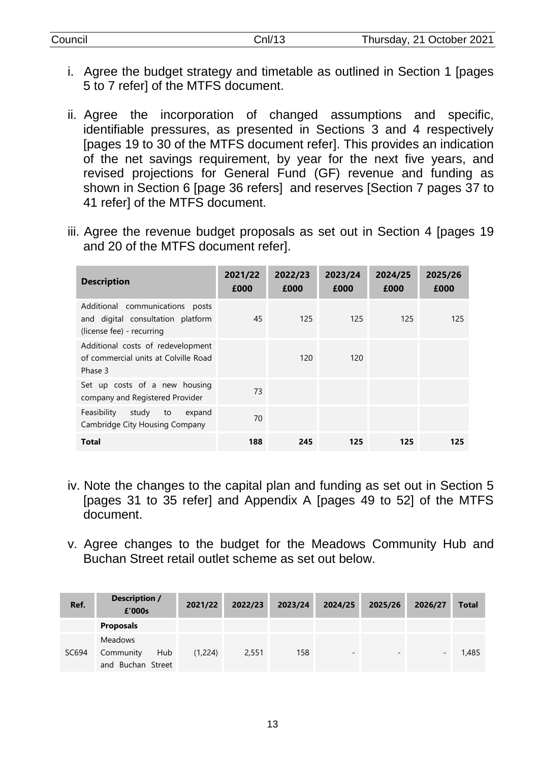| Council | Cnl/13 | Thursday, 21 October 2021 |
|---------|--------|---------------------------|
|         |        |                           |

- i. Agree the budget strategy and timetable as outlined in Section 1 [pages 5 to 7 refer] of the MTFS document.
- ii. Agree the incorporation of changed assumptions and specific, identifiable pressures, as presented in Sections 3 and 4 respectively [pages 19 to 30 of the MTFS document refer]. This provides an indication of the net savings requirement, by year for the next five years, and revised projections for General Fund (GF) revenue and funding as shown in Section 6 [page 36 refers] and reserves [Section 7 pages 37 to 41 refer] of the MTFS document.
- iii. Agree the revenue budget proposals as set out in Section 4 [pages 19 and 20 of the MTFS document refer].

| <b>Description</b>                                                                                   | 2021/22<br>£000 | 2022/23<br>£000 | 2023/24<br>£000 | 2024/25<br>£000 | 2025/26<br>£000 |
|------------------------------------------------------------------------------------------------------|-----------------|-----------------|-----------------|-----------------|-----------------|
| Additional communications<br>posts<br>and digital consultation platform<br>(license fee) - recurring | 45              | 125             | 125             | 125             | 125             |
| Additional costs of redevelopment<br>of commercial units at Colville Road<br>Phase 3                 |                 | 120             | 120             |                 |                 |
| Set up costs of a new housing<br>company and Registered Provider                                     | 73              |                 |                 |                 |                 |
| Feasibility<br>study<br>expand<br>to<br>Cambridge City Housing Company                               | 70              |                 |                 |                 |                 |
| Total                                                                                                | 188             | 245             | 125             | 125             | 125             |

- iv. Note the changes to the capital plan and funding as set out in Section 5 [pages 31 to 35 refer] and Appendix A [pages 49 to 52] of the MTFS document.
- v. Agree changes to the budget for the Meadows Community Hub and Buchan Street retail outlet scheme as set out below.

| Ref.  | <b>Description /</b><br>£'000s                          | 2021/22 | 2022/23 | 2023/24 | 2024/25                  | 2025/26                  | 2026/27 | <b>Total</b> |
|-------|---------------------------------------------------------|---------|---------|---------|--------------------------|--------------------------|---------|--------------|
|       | <b>Proposals</b>                                        |         |         |         |                          |                          |         |              |
| SC694 | <b>Meadows</b><br>Hub<br>Community<br>and Buchan Street | (1,224) | 2,551   | 158     | $\overline{\phantom{a}}$ | $\overline{\phantom{a}}$ | -       | 1,485        |

13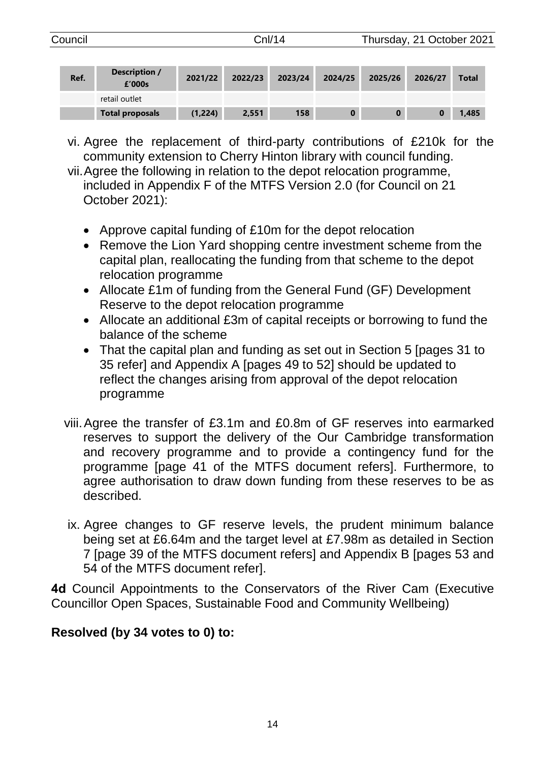| Council |      |                         | Cnl/14  |         |         | Thursday, 21 October 2021 |         |         |              |
|---------|------|-------------------------|---------|---------|---------|---------------------------|---------|---------|--------------|
|         | Ref. | Description /<br>£'000s | 2021/22 | 2022/23 | 2023/24 | 2024/25                   | 2025/26 | 2026/27 | <b>Total</b> |
|         |      | retail outlet           |         |         |         |                           |         |         |              |
|         |      | <b>Total proposals</b>  | (1,224) | 2,551   | 158     | 0                         | 0       |         | 1.485        |

- vi. Agree the replacement of third-party contributions of £210k for the community extension to Cherry Hinton library with council funding.
- vii.Agree the following in relation to the depot relocation programme, included in Appendix F of the MTFS Version 2.0 (for Council on 21 October 2021):
	- Approve capital funding of £10m for the depot relocation
	- Remove the Lion Yard shopping centre investment scheme from the capital plan, reallocating the funding from that scheme to the depot relocation programme
	- Allocate £1m of funding from the General Fund (GF) Development Reserve to the depot relocation programme
	- Allocate an additional £3m of capital receipts or borrowing to fund the balance of the scheme
	- That the capital plan and funding as set out in Section 5 [pages 31 to 35 refer] and Appendix A [pages 49 to 52] should be updated to reflect the changes arising from approval of the depot relocation programme
- viii.Agree the transfer of £3.1m and £0.8m of GF reserves into earmarked reserves to support the delivery of the Our Cambridge transformation and recovery programme and to provide a contingency fund for the programme [page 41 of the MTFS document refers]. Furthermore, to agree authorisation to draw down funding from these reserves to be as described.
- ix. Agree changes to GF reserve levels, the prudent minimum balance being set at £6.64m and the target level at £7.98m as detailed in Section 7 [page 39 of the MTFS document refers] and Appendix B [pages 53 and 54 of the MTFS document refer].

**4d** Council Appointments to the Conservators of the River Cam (Executive Councillor Open Spaces, Sustainable Food and Community Wellbeing)

# **Resolved (by 34 votes to 0) to:**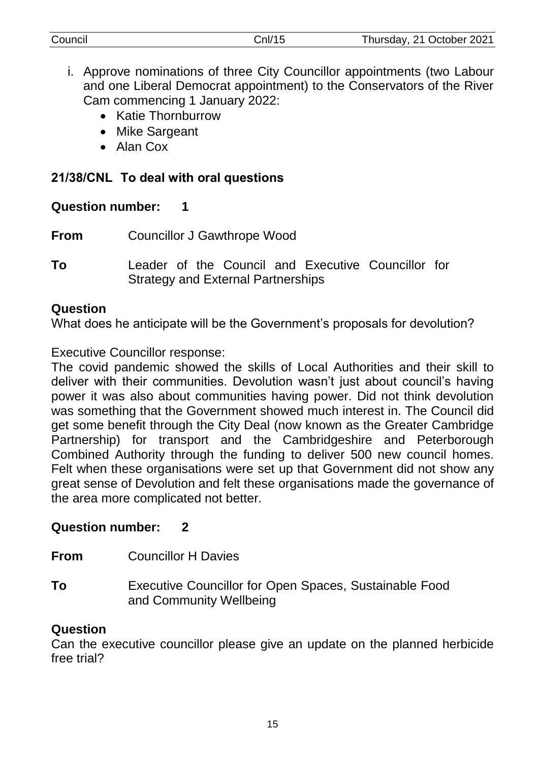| Council | Cnl/15 | Thursday, 21 October 2021 |
|---------|--------|---------------------------|
|         |        |                           |

- i. Approve nominations of three City Councillor appointments (two Labour and one Liberal Democrat appointment) to the Conservators of the River Cam commencing 1 January 2022:
	- Katie Thornburrow
	- Mike Sargeant
	- Alan Cox

# **21/38/CNL To deal with oral questions**

# **Question number: 1**

- **From** Councillor J Gawthrope Wood
- **To** Leader of the Council and Executive Councillor for Strategy and External Partnerships

# **Question**

What does he anticipate will be the Government's proposals for devolution?

Executive Councillor response:

The covid pandemic showed the skills of Local Authorities and their skill to deliver with their communities. Devolution wasn't just about council's having power it was also about communities having power. Did not think devolution was something that the Government showed much interest in. The Council did get some benefit through the City Deal (now known as the Greater Cambridge Partnership) for transport and the Cambridgeshire and Peterborough Combined Authority through the funding to deliver 500 new council homes. Felt when these organisations were set up that Government did not show any great sense of Devolution and felt these organisations made the governance of the area more complicated not better.

# **Question number: 2**

**From** Councillor H Davies

**To** Executive Councillor for Open Spaces, Sustainable Food and Community Wellbeing

# **Question**

Can the executive councillor please give an update on the planned herbicide free trial?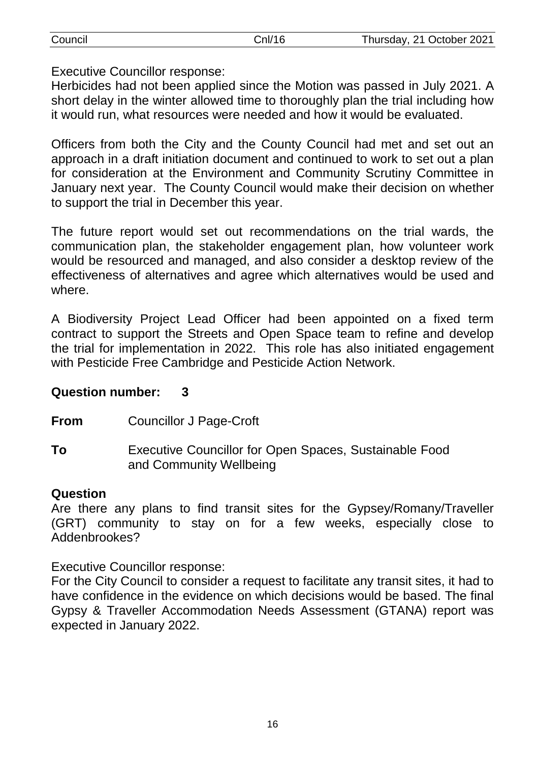| Council                               | CnI/16                                                                  | Thursday, 21 October 2021                                                         |
|---------------------------------------|-------------------------------------------------------------------------|-----------------------------------------------------------------------------------|
|                                       |                                                                         |                                                                                   |
| <b>Executive Councillor response:</b> |                                                                         |                                                                                   |
|                                       |                                                                         | Herbicides had not been applied since the Motion was passed in July 2021. A       |
|                                       |                                                                         | short delay in the winter allowed time to thoroughly plan the trial including how |
|                                       | it would run, what resources were needed and how it would be evaluated. |                                                                                   |

Officers from both the City and the County Council had met and set out an approach in a draft initiation document and continued to work to set out a plan for consideration at the Environment and Community Scrutiny Committee in January next year. The County Council would make their decision on whether to support the trial in December this year.

The future report would set out recommendations on the trial wards, the communication plan, the stakeholder engagement plan, how volunteer work would be resourced and managed, and also consider a desktop review of the effectiveness of alternatives and agree which alternatives would be used and where.

A Biodiversity Project Lead Officer had been appointed on a fixed term contract to support the Streets and Open Space team to refine and develop the trial for implementation in 2022. This role has also initiated engagement with Pesticide Free Cambridge and Pesticide Action Network.

#### **Question number: 3**

**From** Councillor J Page-Croft

**To** Executive Councillor for Open Spaces, Sustainable Food and Community Wellbeing

#### **Question**

Are there any plans to find transit sites for the Gypsey/Romany/Traveller (GRT) community to stay on for a few weeks, especially close to Addenbrookes?

Executive Councillor response:

For the City Council to consider a request to facilitate any transit sites, it had to have confidence in the evidence on which decisions would be based. The final Gypsy & Traveller Accommodation Needs Assessment (GTANA) report was expected in January 2022.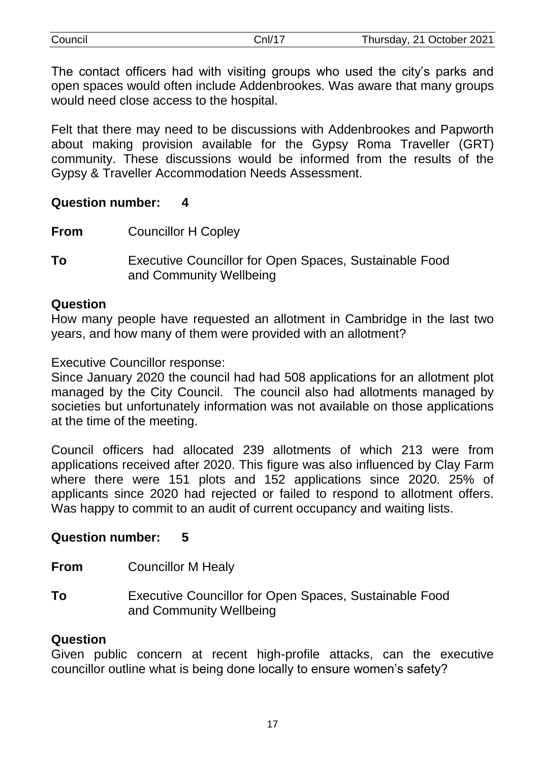| Council | Cnl/17 | Thursday, 21 October 2021 |
|---------|--------|---------------------------|
|         |        |                           |

The contact officers had with visiting groups who used the city's parks and open spaces would often include Addenbrookes. Was aware that many groups would need close access to the hospital.

Felt that there may need to be discussions with Addenbrookes and Papworth about making provision available for the Gypsy Roma Traveller (GRT) community. These discussions would be informed from the results of the Gypsy & Traveller Accommodation Needs Assessment.

#### **Question number: 4**

- **From** Councillor H Copley
- **To** Executive Councillor for Open Spaces, Sustainable Food and Community Wellbeing

#### **Question**

How many people have requested an allotment in Cambridge in the last two years, and how many of them were provided with an allotment?

Executive Councillor response:

Since January 2020 the council had had 508 applications for an allotment plot managed by the City Council. The council also had allotments managed by societies but unfortunately information was not available on those applications at the time of the meeting.

Council officers had allocated 239 allotments of which 213 were from applications received after 2020. This figure was also influenced by Clay Farm where there were 151 plots and 152 applications since 2020. 25% of applicants since 2020 had rejected or failed to respond to allotment offers. Was happy to commit to an audit of current occupancy and waiting lists.

## **Question number: 5**

**From** Councillor M Healy

**To** Executive Councillor for Open Spaces, Sustainable Food and Community Wellbeing

## **Question**

Given public concern at recent high-profile attacks, can the executive councillor outline what is being done locally to ensure women's safety?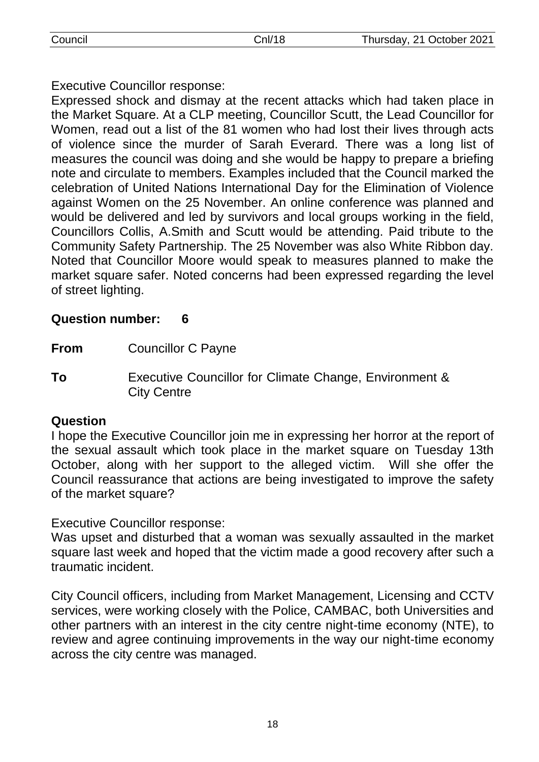Executive Councillor response:

Expressed shock and dismay at the recent attacks which had taken place in the Market Square. At a CLP meeting, Councillor Scutt, the Lead Councillor for Women, read out a list of the 81 women who had lost their lives through acts of violence since the murder of Sarah Everard. There was a long list of measures the council was doing and she would be happy to prepare a briefing note and circulate to members. Examples included that the Council marked the celebration of United Nations International Day for the Elimination of Violence against Women on the 25 November. An online conference was planned and would be delivered and led by survivors and local groups working in the field, Councillors Collis, A.Smith and Scutt would be attending. Paid tribute to the Community Safety Partnership. The 25 November was also White Ribbon day. Noted that Councillor Moore would speak to measures planned to make the market square safer. Noted concerns had been expressed regarding the level of street lighting.

# **Question number: 6**

**From** Councillor C Payne

**To** Executive Councillor for Climate Change, Environment & City Centre

# **Question**

I hope the Executive Councillor join me in expressing her horror at the report of the sexual assault which took place in the market square on Tuesday 13th October, along with her support to the alleged victim. Will she offer the Council reassurance that actions are being investigated to improve the safety of the market square?

Executive Councillor response:

Was upset and disturbed that a woman was sexually assaulted in the market square last week and hoped that the victim made a good recovery after such a traumatic incident.

City Council officers, including from Market Management, Licensing and CCTV services, were working closely with the Police, CAMBAC, both Universities and other partners with an interest in the city centre night-time economy (NTE), to review and agree continuing improvements in the way our night-time economy across the city centre was managed.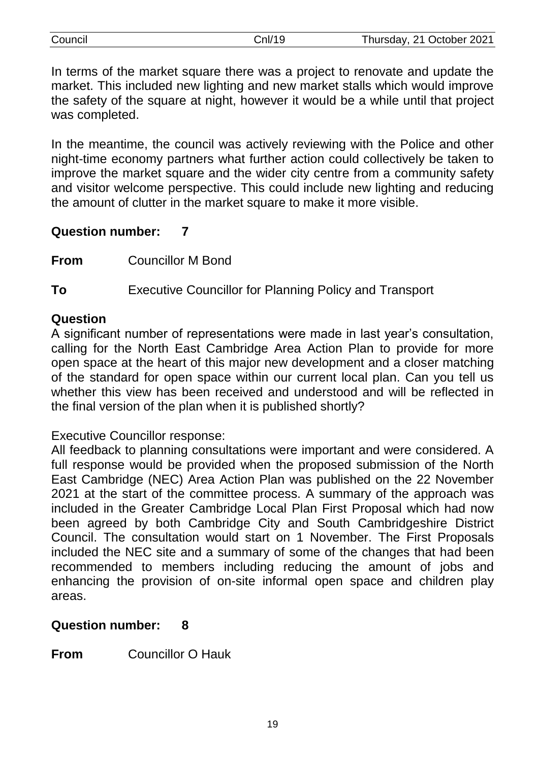| Council | Cnl/19 | Thursday, 21 October 2021 |
|---------|--------|---------------------------|
|         |        |                           |

In terms of the market square there was a project to renovate and update the market. This included new lighting and new market stalls which would improve the safety of the square at night, however it would be a while until that project was completed.

In the meantime, the council was actively reviewing with the Police and other night-time economy partners what further action could collectively be taken to improve the market square and the wider city centre from a community safety and visitor welcome perspective. This could include new lighting and reducing the amount of clutter in the market square to make it more visible.

#### **Question number: 7**

**From** Councillor M Bond

**To** Executive Councillor for Planning Policy and Transport

#### **Question**

A significant number of representations were made in last year's consultation, calling for the North East Cambridge Area Action Plan to provide for more open space at the heart of this major new development and a closer matching of the standard for open space within our current local plan. Can you tell us whether this view has been received and understood and will be reflected in the final version of the plan when it is published shortly?

Executive Councillor response:

All feedback to planning consultations were important and were considered. A full response would be provided when the proposed submission of the North East Cambridge (NEC) Area Action Plan was published on the 22 November 2021 at the start of the committee process. A summary of the approach was included in the Greater Cambridge Local Plan First Proposal which had now been agreed by both Cambridge City and South Cambridgeshire District Council. The consultation would start on 1 November. The First Proposals included the NEC site and a summary of some of the changes that had been recommended to members including reducing the amount of jobs and enhancing the provision of on-site informal open space and children play areas.

## **Question number: 8**

**From** Councillor O Hauk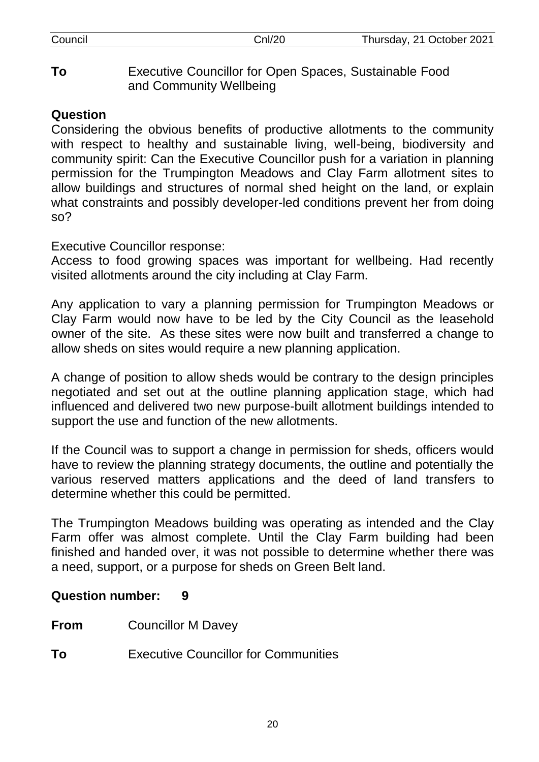**To** Executive Councillor for Open Spaces, Sustainable Food and Community Wellbeing

# **Question**

Considering the obvious benefits of productive allotments to the community with respect to healthy and sustainable living, well-being, biodiversity and community spirit: Can the Executive Councillor push for a variation in planning permission for the Trumpington Meadows and Clay Farm allotment sites to allow buildings and structures of normal shed height on the land, or explain what constraints and possibly developer-led conditions prevent her from doing so?

Executive Councillor response:

Access to food growing spaces was important for wellbeing. Had recently visited allotments around the city including at Clay Farm.

Any application to vary a planning permission for Trumpington Meadows or Clay Farm would now have to be led by the City Council as the leasehold owner of the site. As these sites were now built and transferred a change to allow sheds on sites would require a new planning application.

A change of position to allow sheds would be contrary to the design principles negotiated and set out at the outline planning application stage, which had influenced and delivered two new purpose-built allotment buildings intended to support the use and function of the new allotments.

If the Council was to support a change in permission for sheds, officers would have to review the planning strategy documents, the outline and potentially the various reserved matters applications and the deed of land transfers to determine whether this could be permitted.

The Trumpington Meadows building was operating as intended and the Clay Farm offer was almost complete. Until the Clay Farm building had been finished and handed over, it was not possible to determine whether there was a need, support, or a purpose for sheds on Green Belt land.

## **Question number: 9**

- **From** Councillor M Davey
- **To** Executive Councillor for Communities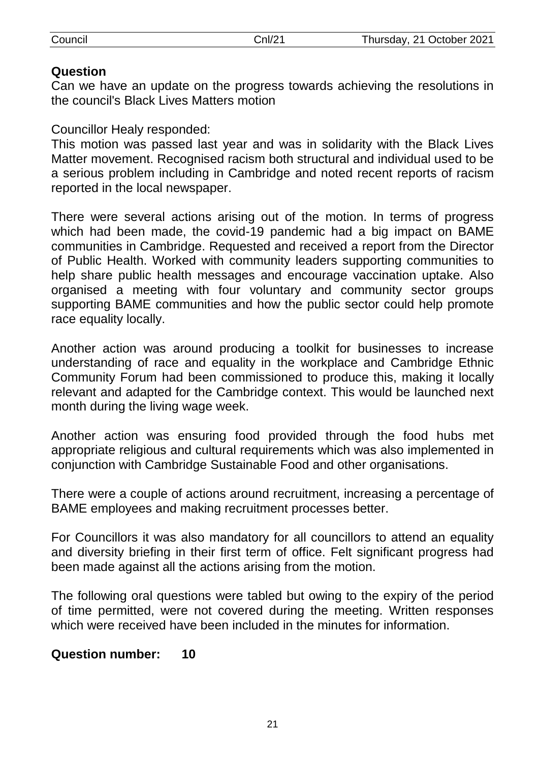# **Question**

Can we have an update on the progress towards achieving the resolutions in the council's Black Lives Matters motion

Councillor Healy responded:

This motion was passed last year and was in solidarity with the Black Lives Matter movement. Recognised racism both structural and individual used to be a serious problem including in Cambridge and noted recent reports of racism reported in the local newspaper.

There were several actions arising out of the motion. In terms of progress which had been made, the covid-19 pandemic had a big impact on BAME communities in Cambridge. Requested and received a report from the Director of Public Health. Worked with community leaders supporting communities to help share public health messages and encourage vaccination uptake. Also organised a meeting with four voluntary and community sector groups supporting BAME communities and how the public sector could help promote race equality locally.

Another action was around producing a toolkit for businesses to increase understanding of race and equality in the workplace and Cambridge Ethnic Community Forum had been commissioned to produce this, making it locally relevant and adapted for the Cambridge context. This would be launched next month during the living wage week.

Another action was ensuring food provided through the food hubs met appropriate religious and cultural requirements which was also implemented in conjunction with Cambridge Sustainable Food and other organisations.

There were a couple of actions around recruitment, increasing a percentage of BAME employees and making recruitment processes better.

For Councillors it was also mandatory for all councillors to attend an equality and diversity briefing in their first term of office. Felt significant progress had been made against all the actions arising from the motion.

The following oral questions were tabled but owing to the expiry of the period of time permitted, were not covered during the meeting. Written responses which were received have been included in the minutes for information.

# **Question number: 10**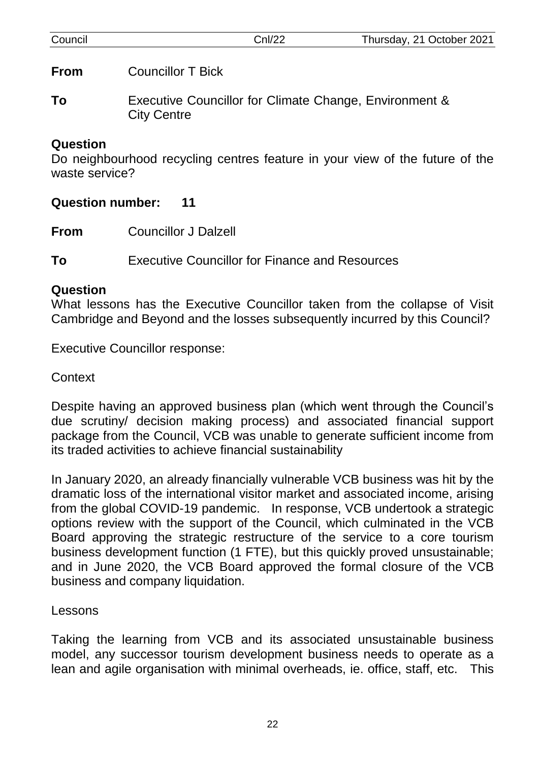| Council | Cnl/22                                                                       | Thursday, 21 October 2021 |
|---------|------------------------------------------------------------------------------|---------------------------|
| From    | <b>Councillor T Bick</b>                                                     |                           |
| To      | Executive Councillor for Climate Change, Environment &<br><b>City Centre</b> |                           |

#### **Question**

Do neighbourhood recycling centres feature in your view of the future of the waste service?

## **Question number: 11**

**From** Councillor J Dalzell

**To** Executive Councillor for Finance and Resources

#### **Question**

What lessons has the Executive Councillor taken from the collapse of Visit Cambridge and Beyond and the losses subsequently incurred by this Council?

Executive Councillor response:

# **Context**

Despite having an approved business plan (which went through the Council's due scrutiny/ decision making process) and associated financial support package from the Council, VCB was unable to generate sufficient income from its traded activities to achieve financial sustainability

In January 2020, an already financially vulnerable VCB business was hit by the dramatic loss of the international visitor market and associated income, arising from the global COVID-19 pandemic. In response, VCB undertook a strategic options review with the support of the Council, which culminated in the VCB Board approving the strategic restructure of the service to a core tourism business development function (1 FTE), but this quickly proved unsustainable; and in June 2020, the VCB Board approved the formal closure of the VCB business and company liquidation.

## Lessons

Taking the learning from VCB and its associated unsustainable business model, any successor tourism development business needs to operate as a lean and agile organisation with minimal overheads, ie. office, staff, etc. This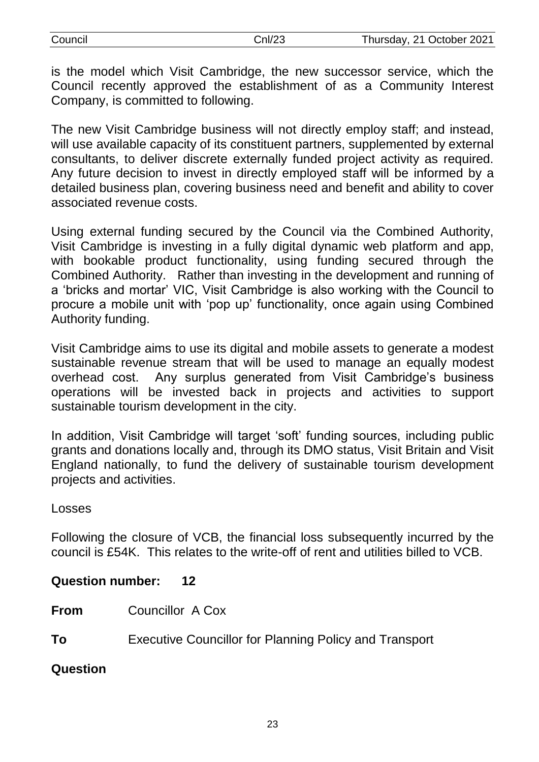| Council | CnI/23 | Thursday, 21 October 2021 |
|---------|--------|---------------------------|
|         |        |                           |

is the model which Visit Cambridge, the new successor service, which the Council recently approved the establishment of as a Community Interest Company, is committed to following.

The new Visit Cambridge business will not directly employ staff; and instead, will use available capacity of its constituent partners, supplemented by external consultants, to deliver discrete externally funded project activity as required. Any future decision to invest in directly employed staff will be informed by a detailed business plan, covering business need and benefit and ability to cover associated revenue costs.

Using external funding secured by the Council via the Combined Authority, Visit Cambridge is investing in a fully digital dynamic web platform and app, with bookable product functionality, using funding secured through the Combined Authority. Rather than investing in the development and running of a 'bricks and mortar' VIC, Visit Cambridge is also working with the Council to procure a mobile unit with 'pop up' functionality, once again using Combined Authority funding.

Visit Cambridge aims to use its digital and mobile assets to generate a modest sustainable revenue stream that will be used to manage an equally modest overhead cost. Any surplus generated from Visit Cambridge's business operations will be invested back in projects and activities to support sustainable tourism development in the city.

In addition, Visit Cambridge will target 'soft' funding sources, including public grants and donations locally and, through its DMO status, Visit Britain and Visit England nationally, to fund the delivery of sustainable tourism development projects and activities.

#### Losses

Following the closure of VCB, the financial loss subsequently incurred by the council is £54K. This relates to the write-off of rent and utilities billed to VCB.

## **Question number: 12**

- **From** Councillor A Cox
- **To** Executive Councillor for Planning Policy and Transport

#### **Question**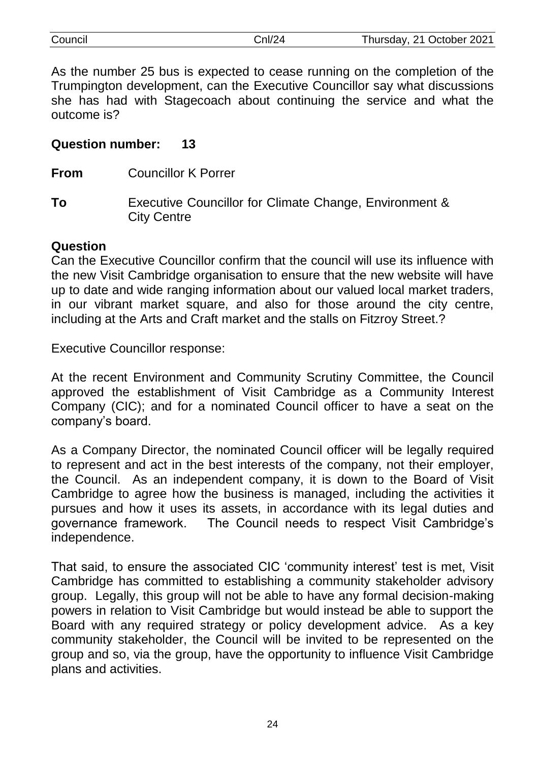| Council | nl/24; | Thursday, 21 October 2021 |
|---------|--------|---------------------------|
|         |        |                           |

As the number 25 bus is expected to cease running on the completion of the Trumpington development, can the Executive Councillor say what discussions she has had with Stagecoach about continuing the service and what the outcome is?

#### **Question number: 13**

**From** Councillor K Porrer

**To** Executive Councillor for Climate Change, Environment & City Centre

## **Question**

Can the Executive Councillor confirm that the council will use its influence with the new Visit Cambridge organisation to ensure that the new website will have up to date and wide ranging information about our valued local market traders, in our vibrant market square, and also for those around the city centre, including at the Arts and Craft market and the stalls on Fitzroy Street.?

Executive Councillor response:

At the recent Environment and Community Scrutiny Committee, the Council approved the establishment of Visit Cambridge as a Community Interest Company (CIC); and for a nominated Council officer to have a seat on the company's board.

As a Company Director, the nominated Council officer will be legally required to represent and act in the best interests of the company, not their employer, the Council. As an independent company, it is down to the Board of Visit Cambridge to agree how the business is managed, including the activities it pursues and how it uses its assets, in accordance with its legal duties and governance framework. The Council needs to respect Visit Cambridge's independence.

That said, to ensure the associated CIC 'community interest' test is met, Visit Cambridge has committed to establishing a community stakeholder advisory group. Legally, this group will not be able to have any formal decision-making powers in relation to Visit Cambridge but would instead be able to support the Board with any required strategy or policy development advice. As a key community stakeholder, the Council will be invited to be represented on the group and so, via the group, have the opportunity to influence Visit Cambridge plans and activities.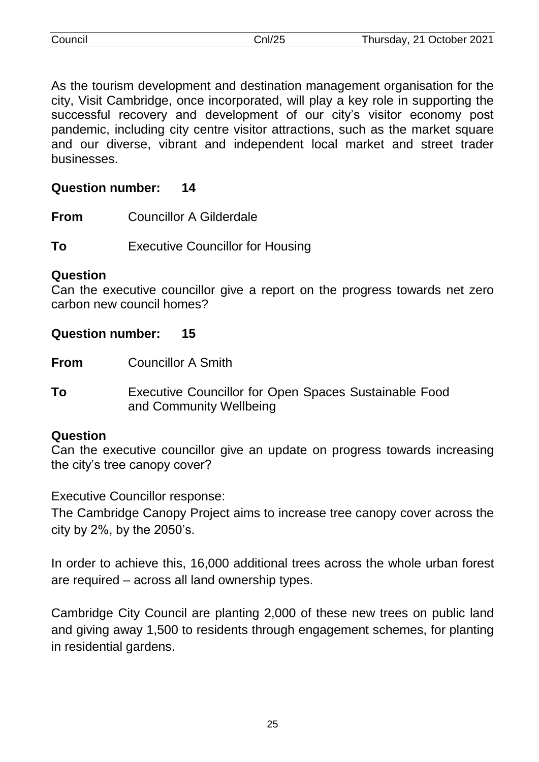| Council | Cnl/25 | Thursday, 21 October 2021 |
|---------|--------|---------------------------|
|         |        |                           |

As the tourism development and destination management organisation for the city, Visit Cambridge, once incorporated, will play a key role in supporting the successful recovery and development of our city's visitor economy post pandemic, including city centre visitor attractions, such as the market square and our diverse, vibrant and independent local market and street trader businesses.

#### **Question number: 14**

**From** Councillor A Gilderdale

**To** Executive Councillor for Housing

#### **Question**

Can the executive councillor give a report on the progress towards net zero carbon new council homes?

#### **Question number: 15**

**From** Councillor A Smith

**To** Executive Councillor for Open Spaces Sustainable Food and Community Wellbeing

#### **Question**

Can the executive councillor give an update on progress towards increasing the city's tree canopy cover?

Executive Councillor response:

The Cambridge Canopy Project aims to increase tree canopy cover across the city by 2%, by the 2050's.

In order to achieve this, 16,000 additional trees across the whole urban forest are required – across all land ownership types.

Cambridge City Council are planting 2,000 of these new trees on public land and giving away 1,500 to residents through engagement schemes, for planting in residential gardens.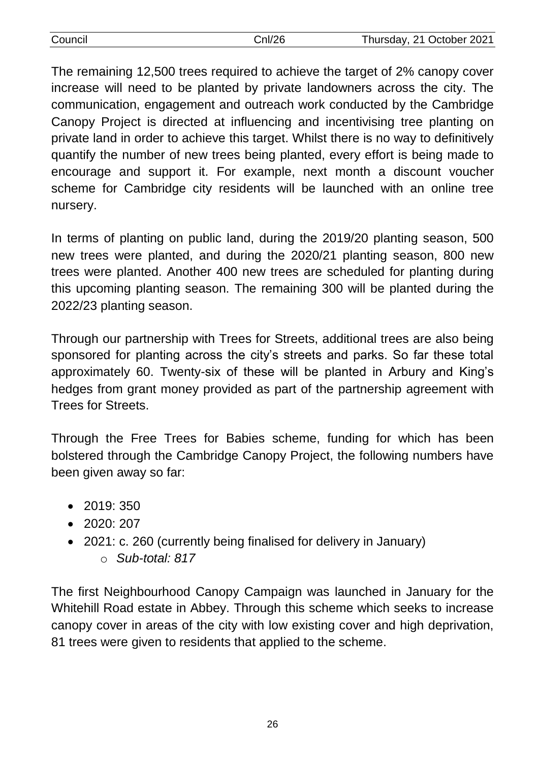| Council | CnI/26 | Thursday, 21 October 2021 |
|---------|--------|---------------------------|
|         |        |                           |

The remaining 12,500 trees required to achieve the target of 2% canopy cover increase will need to be planted by private landowners across the city. The communication, engagement and outreach work conducted by the Cambridge Canopy Project is directed at influencing and incentivising tree planting on private land in order to achieve this target. Whilst there is no way to definitively quantify the number of new trees being planted, every effort is being made to encourage and support it. For example, next month a discount voucher scheme for Cambridge city residents will be launched with an online tree nursery.

In terms of planting on public land, during the 2019/20 planting season, 500 new trees were planted, and during the 2020/21 planting season, 800 new trees were planted. Another 400 new trees are scheduled for planting during this upcoming planting season. The remaining 300 will be planted during the 2022/23 planting season.

Through our partnership with Trees for Streets, additional trees are also being sponsored for planting across the city's streets and parks. So far these total approximately 60. Twenty-six of these will be planted in Arbury and King's hedges from grant money provided as part of the partnership agreement with Trees for Streets.

Through the Free Trees for Babies scheme, funding for which has been bolstered through the Cambridge Canopy Project, the following numbers have been given away so far:

- 2019: 350
- 2020: 207
- 2021: c. 260 (currently being finalised for delivery in January) o *Sub-total: 817*

The first Neighbourhood Canopy Campaign was launched in January for the Whitehill Road estate in Abbey. Through this scheme which seeks to increase canopy cover in areas of the city with low existing cover and high deprivation, 81 trees were given to residents that applied to the scheme.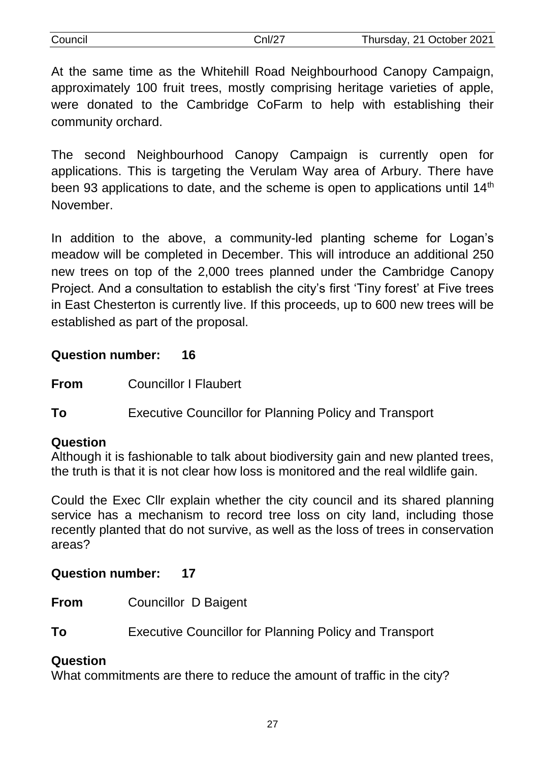| Council | Cnl/27 | Thursday, 21 October 2021 |
|---------|--------|---------------------------|
|         |        |                           |

At the same time as the Whitehill Road Neighbourhood Canopy Campaign, approximately 100 fruit trees, mostly comprising heritage varieties of apple, were donated to the Cambridge CoFarm to help with establishing their community orchard.

The second Neighbourhood Canopy Campaign is currently open for applications. This is targeting the Verulam Way area of Arbury. There have been 93 applications to date, and the scheme is open to applications until 14<sup>th</sup> **November** 

In addition to the above, a community-led planting scheme for Logan's meadow will be completed in December. This will introduce an additional 250 new trees on top of the 2,000 trees planned under the Cambridge Canopy Project. And a consultation to establish the city's first 'Tiny forest' at Five trees in East Chesterton is currently live. If this proceeds, up to 600 new trees will be established as part of the proposal.

## **Question number: 16**

**From** Councillor I Flaubert

**To** Executive Councillor for Planning Policy and Transport

# **Question**

Although it is fashionable to talk about biodiversity gain and new planted trees, the truth is that it is not clear how loss is monitored and the real wildlife gain.

Could the Exec Cllr explain whether the city council and its shared planning service has a mechanism to record tree loss on city land, including those recently planted that do not survive, as well as the loss of trees in conservation areas?

# **Question number: 17**

**From** Councillor D Baigent

**To** Executive Councillor for Planning Policy and Transport

# **Question**

What commitments are there to reduce the amount of traffic in the city?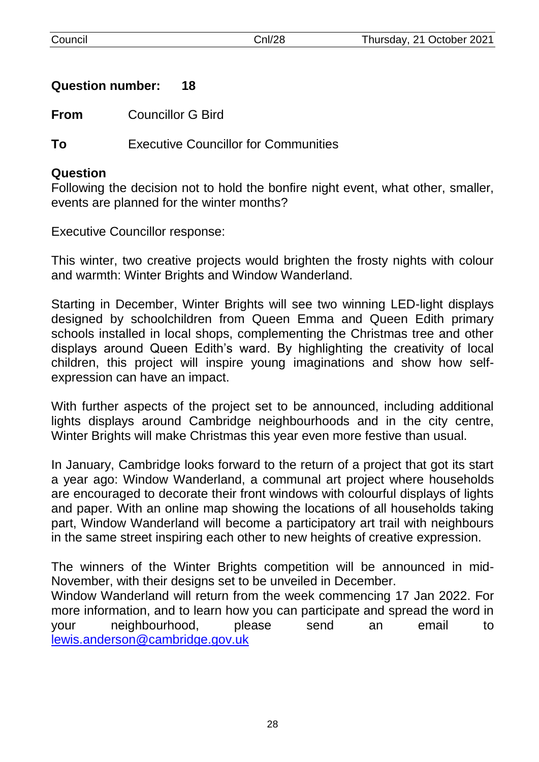## **Question number: 18**

**From** Councillor G Bird

**To** Executive Councillor for Communities

#### **Question**

Following the decision not to hold the bonfire night event, what other, smaller, events are planned for the winter months?

Executive Councillor response:

This winter, two creative projects would brighten the frosty nights with colour and warmth: Winter Brights and Window Wanderland.

Starting in December, Winter Brights will see two winning LED-light displays designed by schoolchildren from Queen Emma and Queen Edith primary schools installed in local shops, complementing the Christmas tree and other displays around Queen Edith's ward. By highlighting the creativity of local children, this project will inspire young imaginations and show how selfexpression can have an impact.

With further aspects of the project set to be announced, including additional lights displays around Cambridge neighbourhoods and in the city centre, Winter Brights will make Christmas this year even more festive than usual.

In January, Cambridge looks forward to the return of a project that got its start a year ago: Window Wanderland, a communal art project where households are encouraged to decorate their front windows with colourful displays of lights and paper. With an online map showing the locations of all households taking part, Window Wanderland will become a participatory art trail with neighbours in the same street inspiring each other to new heights of creative expression.

The winners of the Winter Brights competition will be announced in mid-November, with their designs set to be unveiled in December.

Window Wanderland will return from the week commencing 17 Jan 2022. For more information, and to learn how you can participate and spread the word in your neighbourhood, please send an email to [lewis.anderson@cambridge.gov.uk](mailto:lewis.anderson@cambridge.gov.uk)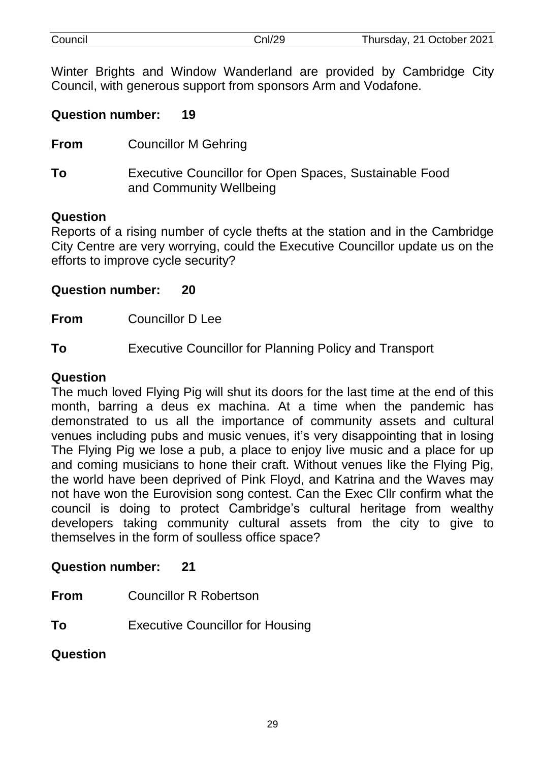| Council | Cnl/29 | Thursday, 21 October 2021 |
|---------|--------|---------------------------|
|         |        |                           |

Winter Brights and Window Wanderland are provided by Cambridge City Council, with generous support from sponsors Arm and Vodafone.

#### **Question number: 19**

**From** Councillor M Gehring

**To** Executive Councillor for Open Spaces, Sustainable Food and Community Wellbeing

#### **Question**

Reports of a rising number of cycle thefts at the station and in the Cambridge City Centre are very worrying, could the Executive Councillor update us on the efforts to improve cycle security?

#### **Question number: 20**

**From** Councillor D Lee

**To** Executive Councillor for Planning Policy and Transport

#### **Question**

The much loved Flying Pig will shut its doors for the last time at the end of this month, barring a deus ex machina. At a time when the pandemic has demonstrated to us all the importance of community assets and cultural venues including pubs and music venues, it's very disappointing that in losing The Flying Pig we lose a pub, a place to enjoy live music and a place for up and coming musicians to hone their craft. Without venues like the Flying Pig, the world have been deprived of Pink Floyd, and Katrina and the Waves may not have won the Eurovision song contest. Can the Exec Cllr confirm what the council is doing to protect Cambridge's cultural heritage from wealthy developers taking community cultural assets from the city to give to themselves in the form of soulless office space?

## **Question number: 21**

- **From** Councillor R Robertson
- **To** Executive Councillor for Housing

## **Question**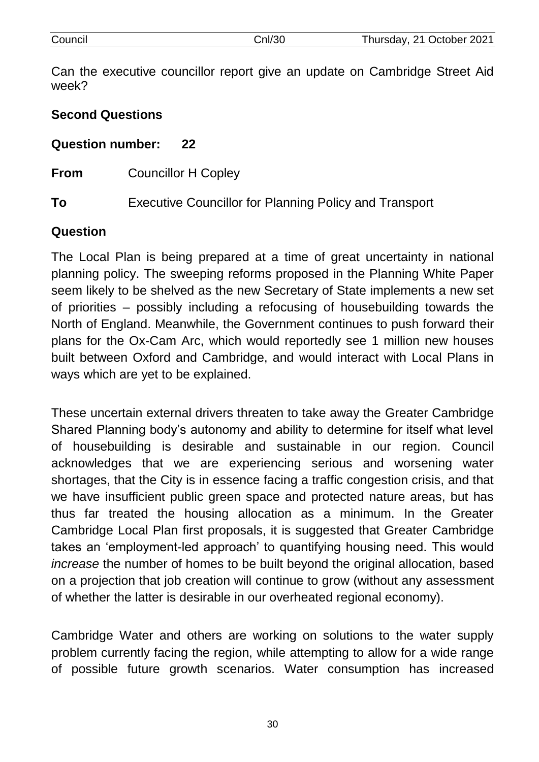| week? | Can the executive councillor report give an update on Cambridge Street Aid |
|-------|----------------------------------------------------------------------------|
|       | <b>Second Questions</b>                                                    |
|       | Question number: 22                                                        |
| From  | <b>Councillor H Copley</b>                                                 |

**To** Executive Councillor for Planning Policy and Transport

#### **Question**

The Local Plan is being prepared at a time of great uncertainty in national planning policy. The sweeping reforms proposed in the Planning White Paper seem likely to be shelved as the new Secretary of State implements a new set of priorities – possibly including a refocusing of housebuilding towards the North of England. Meanwhile, the Government continues to push forward their plans for the Ox-Cam Arc, which would reportedly see 1 million new houses built between Oxford and Cambridge, and would interact with Local Plans in ways which are yet to be explained.

These uncertain external drivers threaten to take away the Greater Cambridge Shared Planning body's autonomy and ability to determine for itself what level of housebuilding is desirable and sustainable in our region. Council acknowledges that we are experiencing serious and worsening water shortages, that the City is in essence facing a traffic congestion crisis, and that we have insufficient public green space and protected nature areas, but has thus far treated the housing allocation as a minimum. In the Greater Cambridge Local Plan first proposals, it is suggested that Greater Cambridge takes an 'employment-led approach' to quantifying housing need. This would *increase* the number of homes to be built beyond the original allocation, based on a projection that job creation will continue to grow (without any assessment of whether the latter is desirable in our overheated regional economy).

Cambridge Water and others are working on solutions to the water supply problem currently facing the region, while attempting to allow for a wide range of possible future growth scenarios. Water consumption has increased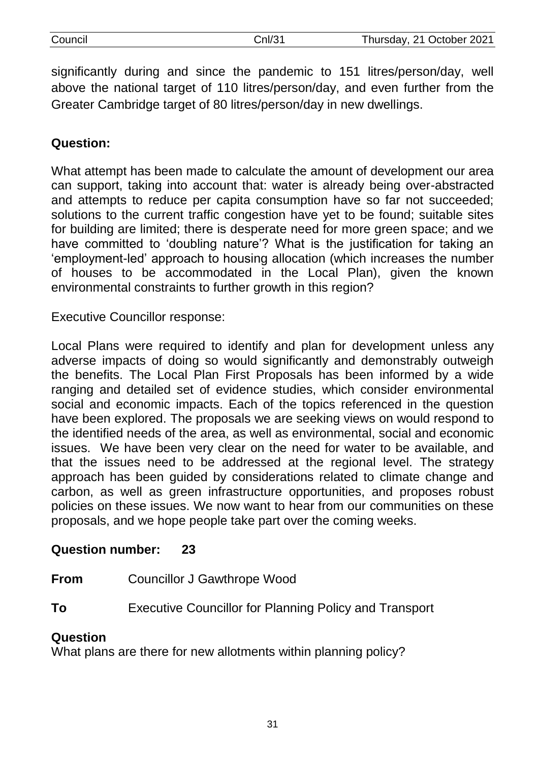| Council | CnI/31 | Thursday, 21 October 2021 |
|---------|--------|---------------------------|
|         |        |                           |

significantly during and since the pandemic to 151 litres/person/day, well above the national target of 110 litres/person/day, and even further from the Greater Cambridge target of 80 litres/person/day in new dwellings.

# **Question:**

What attempt has been made to calculate the amount of development our area can support, taking into account that: water is already being over-abstracted and attempts to reduce per capita consumption have so far not succeeded; solutions to the current traffic congestion have yet to be found; suitable sites for building are limited; there is desperate need for more green space; and we have committed to 'doubling nature'? What is the justification for taking an 'employment-led' approach to housing allocation (which increases the number of houses to be accommodated in the Local Plan), given the known environmental constraints to further growth in this region?

Executive Councillor response:

Local Plans were required to identify and plan for development unless any adverse impacts of doing so would significantly and demonstrably outweigh the benefits. The Local Plan First Proposals has been informed by a wide ranging and detailed set of evidence studies, which consider environmental social and economic impacts. Each of the topics referenced in the question have been explored. The proposals we are seeking views on would respond to the identified needs of the area, as well as environmental, social and economic issues. We have been very clear on the need for water to be available, and that the issues need to be addressed at the regional level. The strategy approach has been guided by considerations related to climate change and carbon, as well as green infrastructure opportunities, and proposes robust policies on these issues. We now want to hear from our communities on these proposals, and we hope people take part over the coming weeks.

## **Question number: 23**

- **From** Councillor J Gawthrope Wood
- **To** Executive Councillor for Planning Policy and Transport

## **Question**

What plans are there for new allotments within planning policy?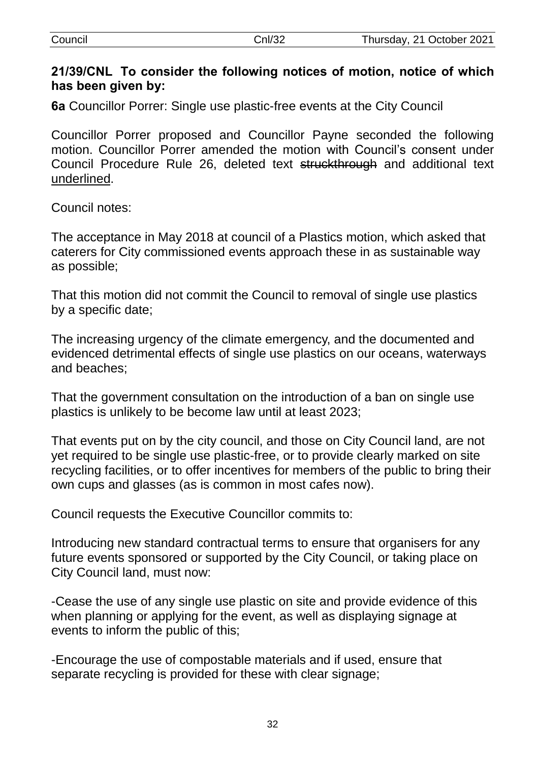| Council | Cnl/32 | Thursday, 21 October 2021 |
|---------|--------|---------------------------|
|         |        |                           |

#### **21/39/CNL To consider the following notices of motion, notice of which has been given by:**

**6a** Councillor Porrer: Single use plastic-free events at the City Council

Councillor Porrer proposed and Councillor Payne seconded the following motion. Councillor Porrer amended the motion with Council's consent under Council Procedure Rule 26, deleted text struckthrough and additional text underlined.

Council notes:

The acceptance in May 2018 at council of a Plastics motion, which asked that caterers for City commissioned events approach these in as sustainable way as possible;

That this motion did not commit the Council to removal of single use plastics by a specific date;

The increasing urgency of the climate emergency, and the documented and evidenced detrimental effects of single use plastics on our oceans, waterways and beaches;

That the government consultation on the introduction of a ban on single use plastics is unlikely to be become law until at least 2023;

That events put on by the city council, and those on City Council land, are not yet required to be single use plastic-free, or to provide clearly marked on site recycling facilities, or to offer incentives for members of the public to bring their own cups and glasses (as is common in most cafes now).

Council requests the Executive Councillor commits to:

Introducing new standard contractual terms to ensure that organisers for any future events sponsored or supported by the City Council, or taking place on City Council land, must now:

-Cease the use of any single use plastic on site and provide evidence of this when planning or applying for the event, as well as displaying signage at events to inform the public of this;

-Encourage the use of compostable materials and if used, ensure that separate recycling is provided for these with clear signage;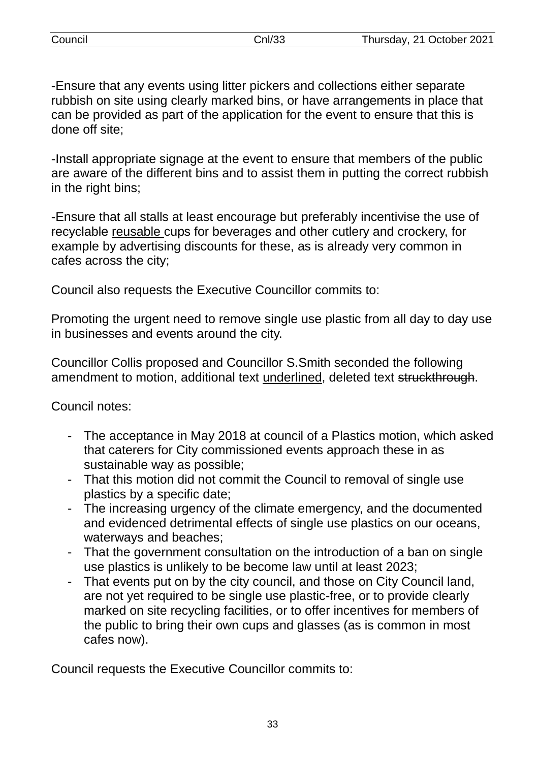-Ensure that any events using litter pickers and collections either separate rubbish on site using clearly marked bins, or have arrangements in place that can be provided as part of the application for the event to ensure that this is done off site;

-Install appropriate signage at the event to ensure that members of the public are aware of the different bins and to assist them in putting the correct rubbish in the right bins;

-Ensure that all stalls at least encourage but preferably incentivise the use of recyclable reusable cups for beverages and other cutlery and crockery, for example by advertising discounts for these, as is already very common in cafes across the city;

Council also requests the Executive Councillor commits to:

Promoting the urgent need to remove single use plastic from all day to day use in businesses and events around the city.

Councillor Collis proposed and Councillor S.Smith seconded the following amendment to motion, additional text underlined, deleted text struckthrough.

Council notes:

- The acceptance in May 2018 at council of a Plastics motion, which asked that caterers for City commissioned events approach these in as sustainable way as possible;
- That this motion did not commit the Council to removal of single use plastics by a specific date;
- The increasing urgency of the climate emergency, and the documented and evidenced detrimental effects of single use plastics on our oceans, waterways and beaches;
- That the government consultation on the introduction of a ban on single use plastics is unlikely to be become law until at least 2023;
- That events put on by the city council, and those on City Council land, are not yet required to be single use plastic-free, or to provide clearly marked on site recycling facilities, or to offer incentives for members of the public to bring their own cups and glasses (as is common in most cafes now).

Council requests the Executive Councillor commits to: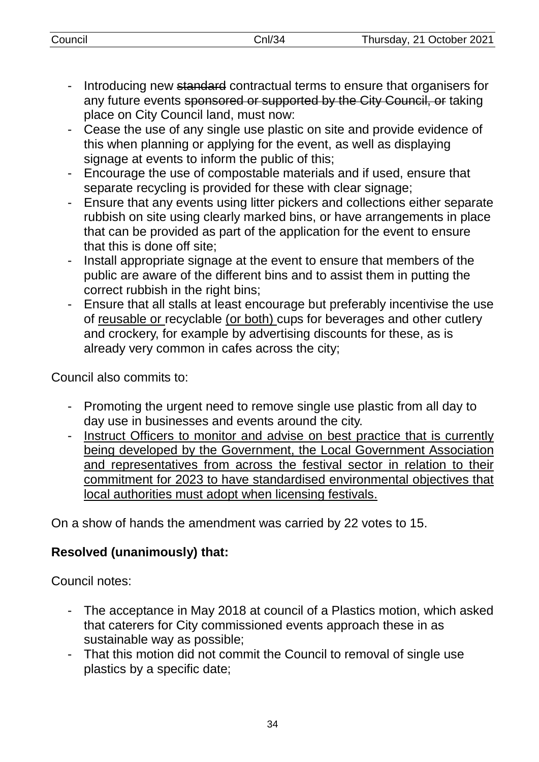- Introducing new standard contractual terms to ensure that organisers for any future events sponsored or supported by the City Council, or taking place on City Council land, must now:
- Cease the use of any single use plastic on site and provide evidence of this when planning or applying for the event, as well as displaying signage at events to inform the public of this;
- Encourage the use of compostable materials and if used, ensure that separate recycling is provided for these with clear signage;
- Ensure that any events using litter pickers and collections either separate rubbish on site using clearly marked bins, or have arrangements in place that can be provided as part of the application for the event to ensure that this is done off site;
- Install appropriate signage at the event to ensure that members of the public are aware of the different bins and to assist them in putting the correct rubbish in the right bins;
- Ensure that all stalls at least encourage but preferably incentivise the use of reusable or recyclable (or both) cups for beverages and other cutlery and crockery, for example by advertising discounts for these, as is already very common in cafes across the city;

Council also commits to:

- Promoting the urgent need to remove single use plastic from all day to day use in businesses and events around the city.
- Instruct Officers to monitor and advise on best practice that is currently being developed by the Government, the Local Government Association and representatives from across the festival sector in relation to their commitment for 2023 to have standardised environmental objectives that local authorities must adopt when licensing festivals.

On a show of hands the amendment was carried by 22 votes to 15.

# **Resolved (unanimously) that:**

Council notes:

- The acceptance in May 2018 at council of a Plastics motion, which asked that caterers for City commissioned events approach these in as sustainable way as possible;
- That this motion did not commit the Council to removal of single use plastics by a specific date;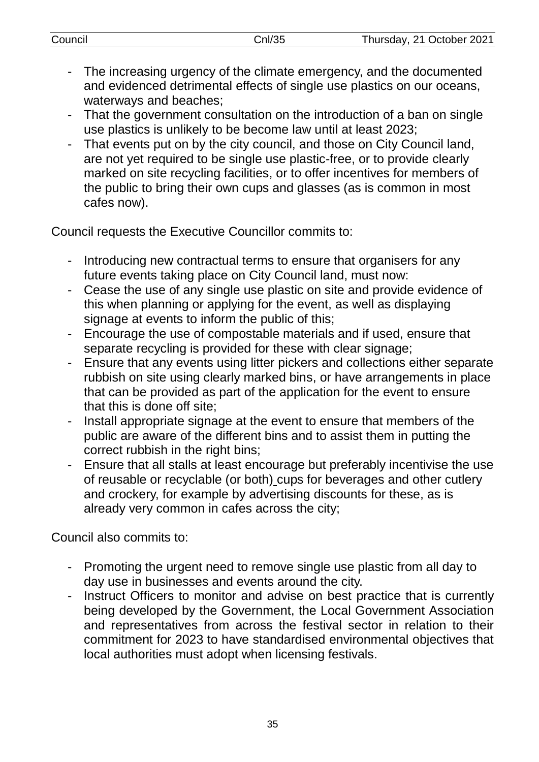| Council | Cn/35 | Thursday, 21 October 2021                                          |
|---------|-------|--------------------------------------------------------------------|
|         |       |                                                                    |
|         |       | The increasing urgency of the climate emergency and the documented |

- e climate emergency, and the d and evidenced detrimental effects of single use plastics on our oceans, waterways and beaches;
- That the government consultation on the introduction of a ban on single use plastics is unlikely to be become law until at least 2023;
- That events put on by the city council, and those on City Council land, are not yet required to be single use plastic-free, or to provide clearly marked on site recycling facilities, or to offer incentives for members of the public to bring their own cups and glasses (as is common in most cafes now).

Council requests the Executive Councillor commits to:

- Introducing new contractual terms to ensure that organisers for any future events taking place on City Council land, must now:
- Cease the use of any single use plastic on site and provide evidence of this when planning or applying for the event, as well as displaying signage at events to inform the public of this;
- Encourage the use of compostable materials and if used, ensure that separate recycling is provided for these with clear signage;
- Ensure that any events using litter pickers and collections either separate rubbish on site using clearly marked bins, or have arrangements in place that can be provided as part of the application for the event to ensure that this is done off site;
- Install appropriate signage at the event to ensure that members of the public are aware of the different bins and to assist them in putting the correct rubbish in the right bins;
- Ensure that all stalls at least encourage but preferably incentivise the use of reusable or recyclable (or both) cups for beverages and other cutlery and crockery, for example by advertising discounts for these, as is already very common in cafes across the city;

Council also commits to:

- Promoting the urgent need to remove single use plastic from all day to day use in businesses and events around the city.
- Instruct Officers to monitor and advise on best practice that is currently being developed by the Government, the Local Government Association and representatives from across the festival sector in relation to their commitment for 2023 to have standardised environmental objectives that local authorities must adopt when licensing festivals.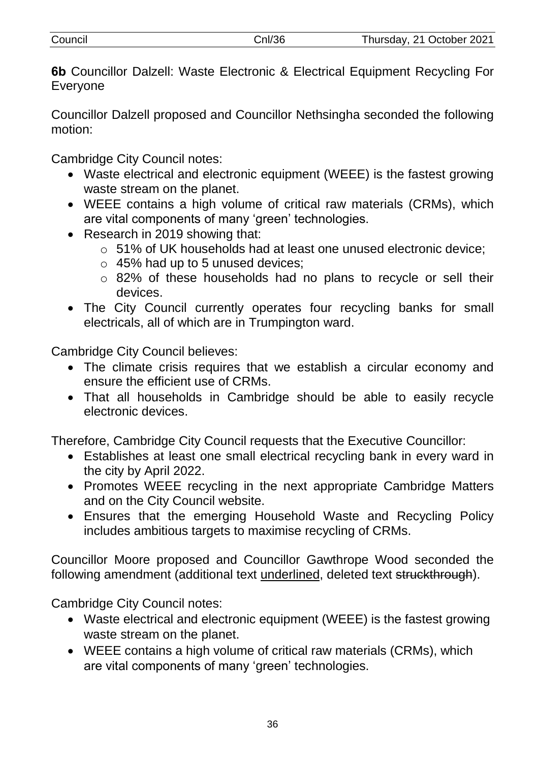| Council | Cnl/36 | Thursday, 21 October 2021 |
|---------|--------|---------------------------|
|         |        |                           |

**6b** Councillor Dalzell: Waste Electronic & Electrical Equipment Recycling For Everyone

Councillor Dalzell proposed and Councillor Nethsingha seconded the following motion:

Cambridge City Council notes:

- Waste electrical and electronic equipment (WEEE) is the fastest growing waste stream on the planet.
- WEEE contains a high volume of critical raw materials (CRMs), which are vital components of many 'green' technologies.
- Research in 2019 showing that:
	- o 51% of UK households had at least one unused electronic device;
	- $\circ$  45% had up to 5 unused devices:
	- o 82% of these households had no plans to recycle or sell their devices.
- The City Council currently operates four recycling banks for small electricals, all of which are in Trumpington ward.

Cambridge City Council believes:

- The climate crisis requires that we establish a circular economy and ensure the efficient use of CRMs.
- That all households in Cambridge should be able to easily recycle electronic devices.

Therefore, Cambridge City Council requests that the Executive Councillor:

- Establishes at least one small electrical recycling bank in every ward in the city by April 2022.
- Promotes WEEE recycling in the next appropriate Cambridge Matters and on the City Council website.
- Ensures that the emerging Household Waste and Recycling Policy includes ambitious targets to maximise recycling of CRMs.

Councillor Moore proposed and Councillor Gawthrope Wood seconded the following amendment (additional text underlined, deleted text struckthrough).

Cambridge City Council notes:

- Waste electrical and electronic equipment (WEEE) is the fastest growing waste stream on the planet.
- WEEE contains a high volume of critical raw materials (CRMs), which are vital components of many 'green' technologies.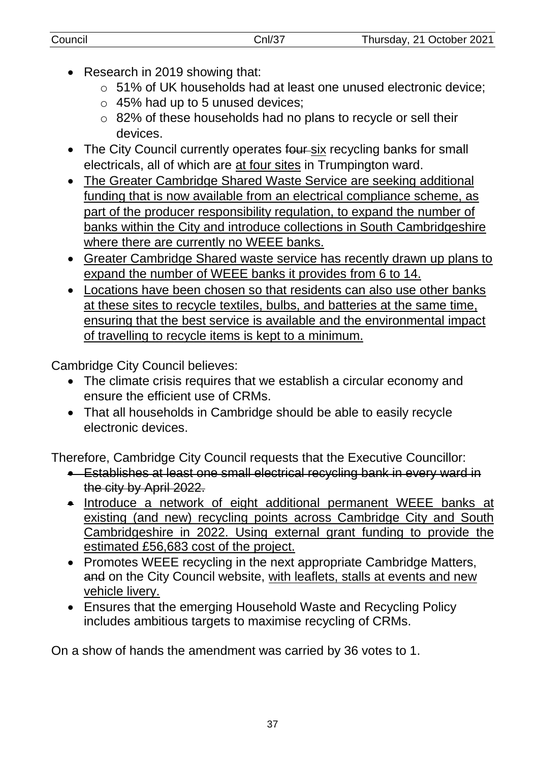- Research in 2019 showing that:
	- o 51% of UK households had at least one unused electronic device;
	- $\circ$  45% had up to 5 unused devices;
	- o 82% of these households had no plans to recycle or sell their devices.
- The City Council currently operates four six recycling banks for small electricals, all of which are at four sites in Trumpington ward.
- The Greater Cambridge Shared Waste Service are seeking additional funding that is now available from an electrical compliance scheme, as part of the producer responsibility regulation, to expand the number of banks within the City and introduce collections in South Cambridgeshire where there are currently no WEEE banks.
- Greater Cambridge Shared waste service has recently drawn up plans to expand the number of WEEE banks it provides from 6 to 14.
- Locations have been chosen so that residents can also use other banks at these sites to recycle textiles, bulbs, and batteries at the same time, ensuring that the best service is available and the environmental impact of travelling to recycle items is kept to a minimum.

Cambridge City Council believes:

- The climate crisis requires that we establish a circular economy and ensure the efficient use of CRMs.
- That all households in Cambridge should be able to easily recycle electronic devices.

Therefore, Cambridge City Council requests that the Executive Councillor:

- **Establishes at least one small electrical recycling bank in every ward in example of the State** the city by April 2022.
- Introduce a network of eight additional permanent WEEE banks at existing (and new) recycling points across Cambridge City and South Cambridgeshire in 2022. Using external grant funding to provide the estimated £56,683 cost of the project.
- Promotes WEEE recycling in the next appropriate Cambridge Matters, and on the City Council website, with leaflets, stalls at events and new vehicle livery.
- Ensures that the emerging Household Waste and Recycling Policy includes ambitious targets to maximise recycling of CRMs.

On a show of hands the amendment was carried by 36 votes to 1.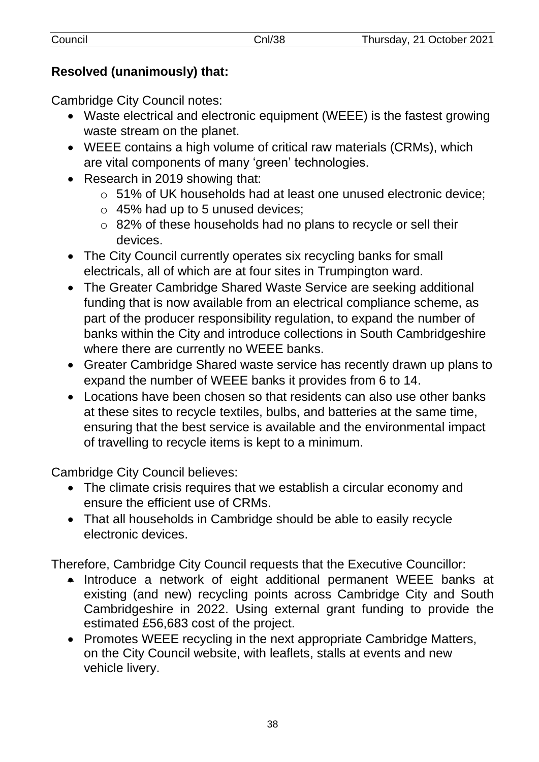# **Resolved (unanimously) that:**

Cambridge City Council notes:

- Waste electrical and electronic equipment (WEEE) is the fastest growing waste stream on the planet.
- WEEE contains a high volume of critical raw materials (CRMs), which are vital components of many 'green' technologies.
- Research in 2019 showing that:
	- o 51% of UK households had at least one unused electronic device;
	- $\circ$  45% had up to 5 unused devices;
	- o 82% of these households had no plans to recycle or sell their devices.
- The City Council currently operates six recycling banks for small electricals, all of which are at four sites in Trumpington ward.
- The Greater Cambridge Shared Waste Service are seeking additional funding that is now available from an electrical compliance scheme, as part of the producer responsibility regulation, to expand the number of banks within the City and introduce collections in South Cambridgeshire where there are currently no WEEE banks.
- Greater Cambridge Shared waste service has recently drawn up plans to expand the number of WEEE banks it provides from 6 to 14.
- Locations have been chosen so that residents can also use other banks at these sites to recycle textiles, bulbs, and batteries at the same time, ensuring that the best service is available and the environmental impact of travelling to recycle items is kept to a minimum.

Cambridge City Council believes:

- The climate crisis requires that we establish a circular economy and ensure the efficient use of CRMs.
- That all households in Cambridge should be able to easily recycle electronic devices.

Therefore, Cambridge City Council requests that the Executive Councillor:

- Introduce a network of eight additional permanent WEEE banks at existing (and new) recycling points across Cambridge City and South Cambridgeshire in 2022. Using external grant funding to provide the estimated £56,683 cost of the project.
- Promotes WEEE recycling in the next appropriate Cambridge Matters, on the City Council website, with leaflets, stalls at events and new vehicle livery.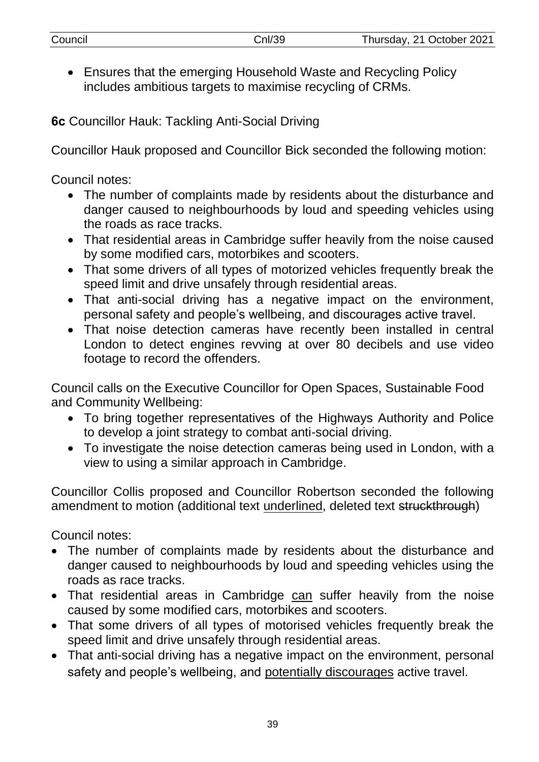| Council | Cnl/39 | Thursday, 21 October 2021 |
|---------|--------|---------------------------|
|         |        |                           |

 Ensures that the emerging Household Waste and Recycling Policy includes ambitious targets to maximise recycling of CRMs.

**6c** Councillor Hauk: Tackling Anti-Social Driving

Councillor Hauk proposed and Councillor Bick seconded the following motion:

Council notes:

- The number of complaints made by residents about the disturbance and danger caused to neighbourhoods by loud and speeding vehicles using the roads as race tracks.
- That residential areas in Cambridge suffer heavily from the noise caused by some modified cars, motorbikes and scooters.
- That some drivers of all types of motorized vehicles frequently break the speed limit and drive unsafely through residential areas.
- That anti-social driving has a negative impact on the environment, personal safety and people's wellbeing, and discourages active travel.
- That noise detection cameras have recently been installed in central London to detect engines revving at over 80 decibels and use video footage to record the offenders.

Council calls on the Executive Councillor for Open Spaces, Sustainable Food and Community Wellbeing:

- To bring together representatives of the Highways Authority and Police to develop a joint strategy to combat anti-social driving.
- To investigate the noise detection cameras being used in London, with a view to using a similar approach in Cambridge.

Councillor Collis proposed and Councillor Robertson seconded the following amendment to motion (additional text underlined, deleted text struckthrough)

Council notes:

- The number of complaints made by residents about the disturbance and danger caused to neighbourhoods by loud and speeding vehicles using the roads as race tracks.
- That residential areas in Cambridge can suffer heavily from the noise caused by some modified cars, motorbikes and scooters.
- That some drivers of all types of motorised vehicles frequently break the speed limit and drive unsafely through residential areas.
- That anti-social driving has a negative impact on the environment, personal safety and people's wellbeing, and potentially discourages active travel.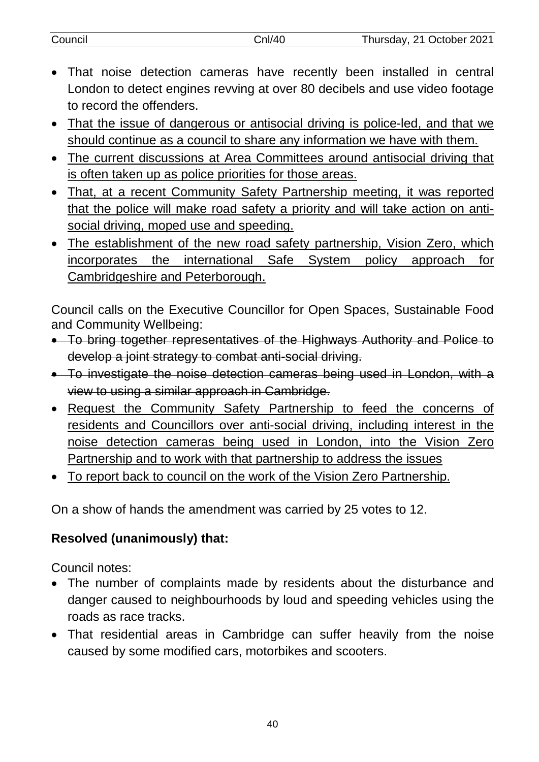| Council | Cnl/4C | Thursday, 21 October 2021 |
|---------|--------|---------------------------|
|         |        |                           |

- That noise detection cameras have recently been installed in central London to detect engines revving at over 80 decibels and use video footage to record the offenders.
- That the issue of dangerous or antisocial driving is police-led, and that we should continue as a council to share any information we have with them.
- The current discussions at Area Committees around antisocial driving that is often taken up as police priorities for those areas.
- That, at a recent Community Safety Partnership meeting, it was reported that the police will make road safety a priority and will take action on antisocial driving, moped use and speeding.
- The establishment of the new road safety partnership, Vision Zero, which incorporates the international Safe System policy approach for Cambridgeshire and Peterborough.

Council calls on the Executive Councillor for Open Spaces, Sustainable Food and Community Wellbeing:

- To bring together representatives of the Highways Authority and Police to develop a joint strategy to combat anti-social driving.
- To investigate the noise detection cameras being used in London, with a view to using a similar approach in Cambridge.
- Request the Community Safety Partnership to feed the concerns of residents and Councillors over anti-social driving, including interest in the noise detection cameras being used in London, into the Vision Zero Partnership and to work with that partnership to address the issues
- To report back to council on the work of the Vision Zero Partnership.

On a show of hands the amendment was carried by 25 votes to 12.

# **Resolved (unanimously) that:**

Council notes:

- The number of complaints made by residents about the disturbance and danger caused to neighbourhoods by loud and speeding vehicles using the roads as race tracks.
- That residential areas in Cambridge can suffer heavily from the noise caused by some modified cars, motorbikes and scooters.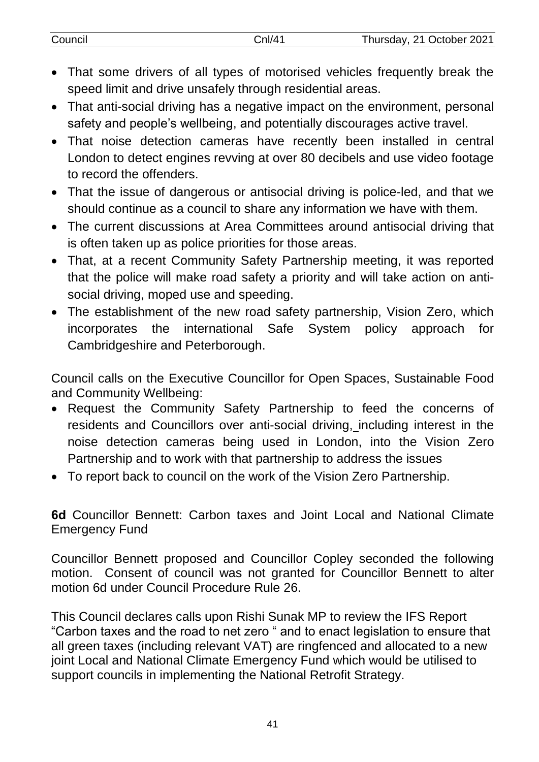| Council | Cnl/41 | Thursday, 21 October 2021 |
|---------|--------|---------------------------|
|         |        |                           |

- That some drivers of all types of motorised vehicles frequently break the speed limit and drive unsafely through residential areas.
- That anti-social driving has a negative impact on the environment, personal safety and people's wellbeing, and potentially discourages active travel.
- That noise detection cameras have recently been installed in central London to detect engines revving at over 80 decibels and use video footage to record the offenders.
- That the issue of dangerous or antisocial driving is police-led, and that we should continue as a council to share any information we have with them.
- The current discussions at Area Committees around antisocial driving that is often taken up as police priorities for those areas.
- That, at a recent Community Safety Partnership meeting, it was reported that the police will make road safety a priority and will take action on antisocial driving, moped use and speeding.
- The establishment of the new road safety partnership, Vision Zero, which incorporates the international Safe System policy approach for Cambridgeshire and Peterborough.

Council calls on the Executive Councillor for Open Spaces, Sustainable Food and Community Wellbeing:

- Request the Community Safety Partnership to feed the concerns of residents and Councillors over anti-social driving, including interest in the noise detection cameras being used in London, into the Vision Zero Partnership and to work with that partnership to address the issues
- To report back to council on the work of the Vision Zero Partnership.

**6d** Councillor Bennett: Carbon taxes and Joint Local and National Climate Emergency Fund

Councillor Bennett proposed and Councillor Copley seconded the following motion. Consent of council was not granted for Councillor Bennett to alter motion 6d under Council Procedure Rule 26.

This Council declares calls upon Rishi Sunak MP to review the IFS Report "Carbon taxes and the road to net zero " and to enact legislation to ensure that all green taxes (including relevant VAT) are ringfenced and allocated to a new joint Local and National Climate Emergency Fund which would be utilised to support councils in implementing the National Retrofit Strategy.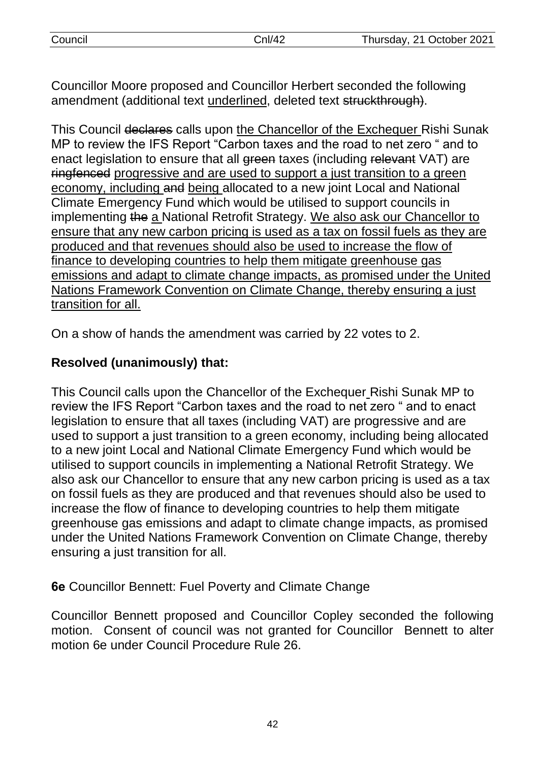Councillor Moore proposed and Councillor Herbert seconded the following amendment (additional text underlined, deleted text struckthrough).

This Council declares calls upon the Chancellor of the Exchequer Rishi Sunak MP to review the IFS Report "Carbon taxes and the road to net zero " and to enact legislation to ensure that all green taxes (including relevant VAT) are ringfenced progressive and are used to support a just transition to a green economy, including and being allocated to a new joint Local and National Climate Emergency Fund which would be utilised to support councils in implementing the a National Retrofit Strategy. We also ask our Chancellor to ensure that any new carbon pricing is used as a tax on fossil fuels as they are produced and that revenues should also be used to increase the flow of finance to developing countries to help them mitigate greenhouse gas emissions and adapt to climate change impacts, as promised under the United Nations Framework Convention on Climate Change, thereby ensuring a just transition for all.

On a show of hands the amendment was carried by 22 votes to 2.

# **Resolved (unanimously) that:**

This Council calls upon the Chancellor of the Exchequer Rishi Sunak MP to review the IFS Report "Carbon taxes and the road to net zero " and to enact legislation to ensure that all taxes (including VAT) are progressive and are used to support a just transition to a green economy, including being allocated to a new joint Local and National Climate Emergency Fund which would be utilised to support councils in implementing a National Retrofit Strategy. We also ask our Chancellor to ensure that any new carbon pricing is used as a tax on fossil fuels as they are produced and that revenues should also be used to increase the flow of finance to developing countries to help them mitigate greenhouse gas emissions and adapt to climate change impacts, as promised under the United Nations Framework Convention on Climate Change, thereby ensuring a just transition for all.

**6e** Councillor Bennett: Fuel Poverty and Climate Change

Councillor Bennett proposed and Councillor Copley seconded the following motion. Consent of council was not granted for Councillor Bennett to alter motion 6e under Council Procedure Rule 26.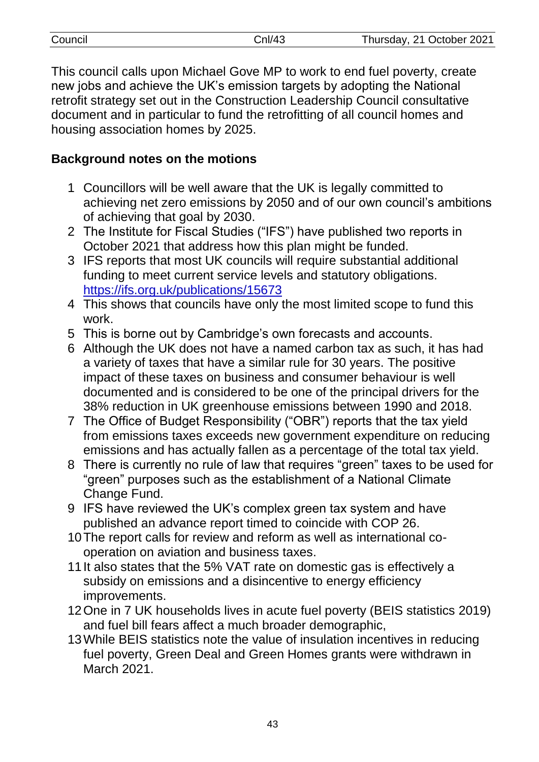| Council | `nl/4 <sup>∩</sup> | Thursday, 21 October 2021 |
|---------|--------------------|---------------------------|
|         |                    |                           |

This council calls upon Michael Gove MP to work to end fuel poverty, create new jobs and achieve the UK's emission targets by adopting the National retrofit strategy set out in the Construction Leadership Council consultative document and in particular to fund the retrofitting of all council homes and housing association homes by 2025.

# **Background notes on the motions**

- 1 Councillors will be well aware that the UK is legally committed to achieving net zero emissions by 2050 and of our own council's ambitions of achieving that goal by 2030.
- 2 The Institute for Fiscal Studies ("IFS") have published two reports in October 2021 that address how this plan might be funded.
- 3 IFS reports that most UK councils will require substantial additional funding to meet current service levels and statutory obligations. <https://ifs.org.uk/publications/15673>
- 4 This shows that councils have only the most limited scope to fund this work.
- 5 This is borne out by Cambridge's own forecasts and accounts.
- 6 Although the UK does not have a named carbon tax as such, it has had a variety of taxes that have a similar rule for 30 years. The positive impact of these taxes on business and consumer behaviour is well documented and is considered to be one of the principal drivers for the 38% reduction in UK greenhouse emissions between 1990 and 2018.
- 7 The Office of Budget Responsibility ("OBR") reports that the tax yield from emissions taxes exceeds new government expenditure on reducing emissions and has actually fallen as a percentage of the total tax yield.
- 8 There is currently no rule of law that requires "green" taxes to be used for "green" purposes such as the establishment of a National Climate Change Fund.
- 9 IFS have reviewed the UK's complex green tax system and have published an advance report timed to coincide with COP 26.
- 10The report calls for review and reform as well as international cooperation on aviation and business taxes.
- 11It also states that the 5% VAT rate on domestic gas is effectively a subsidy on emissions and a disincentive to energy efficiency improvements.
- 12One in 7 UK households lives in acute fuel poverty (BEIS statistics 2019) and fuel bill fears affect a much broader demographic,
- 13While BEIS statistics note the value of insulation incentives in reducing fuel poverty, Green Deal and Green Homes grants were withdrawn in March 2021.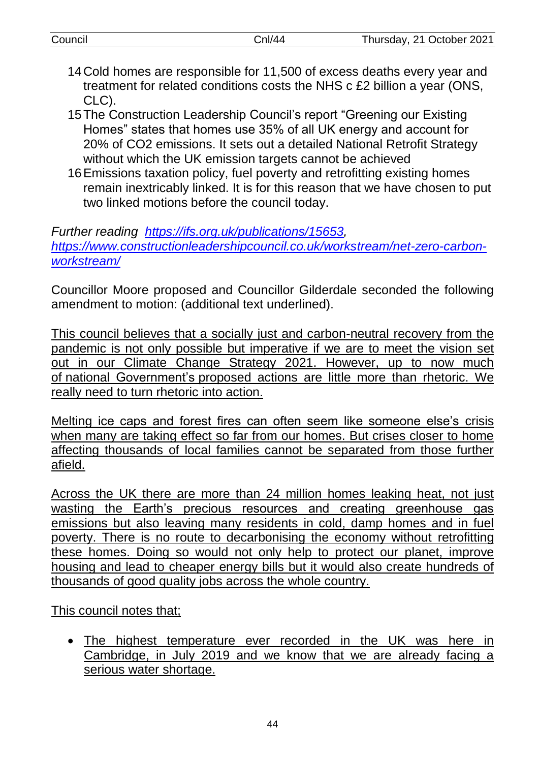| Council | Cnl/44                                                                                                                                      | Thursday, 21 October 2021 |
|---------|---------------------------------------------------------------------------------------------------------------------------------------------|---------------------------|
|         | 14 Cold homes are responsible for 11,500 of excess deaths every year and                                                                    |                           |
| CLC).   | treatment for related conditions costs the NHS c £2 billion a year (ONS,                                                                    |                           |
|         | 15 The Construction Leadership Council's report "Greening our Existing<br>Homes" states that homes use 35% of all UK energy and account for |                           |
|         | 20% of CO2 emissions. It sets out a detailed National Retrofit Strategy                                                                     |                           |

without which the UK emission targets cannot be achieved

16Emissions taxation policy, fuel poverty and retrofitting existing homes remain inextricably linked. It is for this reason that we have chosen to put two linked motions before the council today.

*Further reading [https://ifs.org.uk/publications/15653,](https://ifs.org.uk/publications/15653) [https://www.constructionleadershipcouncil.co.uk/workstream/net-zero-carbon](https://www.constructionleadershipcouncil.co.uk/workstream/net-zero-carbon-workstream/)[workstream/](https://www.constructionleadershipcouncil.co.uk/workstream/net-zero-carbon-workstream/)*

Councillor Moore proposed and Councillor Gilderdale seconded the following amendment to motion: (additional text underlined).

This council believes that a socially just and carbon-neutral recovery from the pandemic is not only possible but imperative if we are to meet the vision set out in our Climate Change Strategy 2021. However, up to now much of national Government's proposed actions are little more than rhetoric. We really need to turn rhetoric into action.

Melting ice caps and forest fires can often seem like someone else's crisis when many are taking effect so far from our homes. But crises closer to home affecting thousands of local families cannot be separated from those further afield.

Across the UK there are more than 24 million homes leaking heat, not just wasting the Earth's precious resources and creating greenhouse gas emissions but also leaving many residents in cold, damp homes and in fuel poverty. There is no route to decarbonising the economy without retrofitting these homes. Doing so would not only help to protect our planet, improve housing and lead to cheaper energy bills but it would also create hundreds of thousands of good quality jobs across the whole country.

This council notes that;

 The highest temperature ever recorded in the UK was here in Cambridge, in July 2019 and we know that we are already facing a serious water shortage.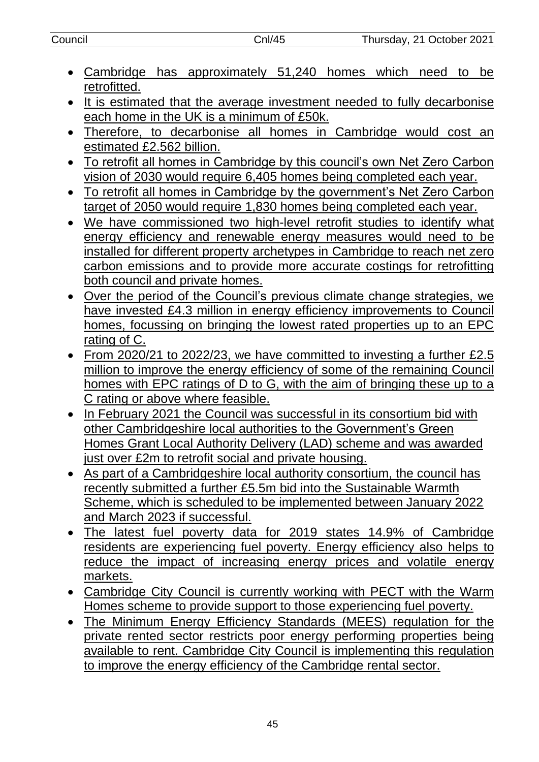- Cambridge has approximately 51,240 homes which need to be retrofitted.
- It is estimated that the average investment needed to fully decarbonise each home in the UK is a minimum of £50k.
- Therefore, to decarbonise all homes in Cambridge would cost an estimated £2.562 billion.
- To retrofit all homes in Cambridge by this council's own Net Zero Carbon vision of 2030 would require 6,405 homes being completed each year.
- To retrofit all homes in Cambridge by the government's Net Zero Carbon target of 2050 would require 1,830 homes being completed each year.
- We have commissioned two high-level retrofit studies to identify what energy efficiency and renewable energy measures would need to be installed for different property archetypes in Cambridge to reach net zero carbon emissions and to provide more accurate costings for retrofitting both council and private homes.
- Over the period of the Council's previous climate change strategies, we have invested £4.3 million in energy efficiency improvements to Council homes, focussing on bringing the lowest rated properties up to an EPC rating of C.
- From 2020/21 to 2022/23, we have committed to investing a further £2.5 million to improve the energy efficiency of some of the remaining Council homes with EPC ratings of D to G, with the aim of bringing these up to a C rating or above where feasible.
- In February 2021 the Council was successful in its consortium bid with other Cambridgeshire local authorities to the Government's Green Homes Grant Local Authority Delivery (LAD) scheme and was awarded just over £2m to retrofit social and private housing.
- As part of a Cambridgeshire local authority consortium, the council has recently submitted a further £5.5m bid into the Sustainable Warmth Scheme, which is scheduled to be implemented between January 2022 and March 2023 if successful.
- The latest fuel poverty data for 2019 states 14.9% of Cambridge residents are experiencing fuel poverty. Energy efficiency also helps to reduce the impact of increasing energy prices and volatile energy markets.
- Cambridge City Council is currently working with PECT with the Warm Homes scheme to provide support to those experiencing fuel poverty.
- The Minimum Energy Efficiency Standards (MEES) regulation for the private rented sector restricts poor energy performing properties being available to rent. Cambridge City Council is implementing this regulation to improve the energy efficiency of the Cambridge rental sector.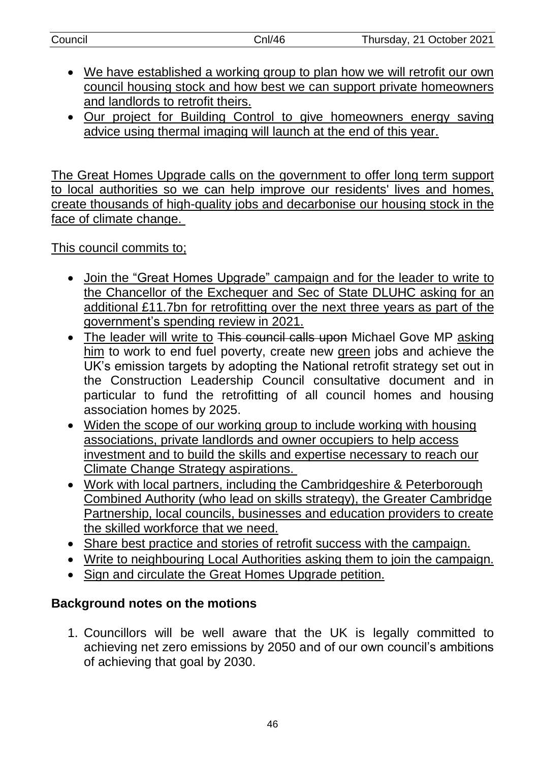| Council | Cnl/46 | Thursday, 21 October 2021 |
|---------|--------|---------------------------|

- We have established a working group to plan how we will retrofit our own council housing stock and how best we can support private homeowners and landlords to retrofit theirs.
- Our project for Building Control to give homeowners energy saving advice using thermal imaging will launch at the end of this year.

The Great Homes Upgrade calls on the government to offer long term support to local authorities so we can help improve our residents' lives and homes, create thousands of high-quality jobs and decarbonise our housing stock in the face of climate change.

This council commits to;

- Join the "Great Homes Upgrade" campaign and for the leader to write to the Chancellor of the Exchequer and Sec of State DLUHC asking for an additional £11.7bn for retrofitting over the next three years as part of the government's spending review in 2021.
- The leader will write to This council calls upon Michael Gove MP asking him to work to end fuel poverty, create new green jobs and achieve the UK's emission targets by adopting the National retrofit strategy set out in the Construction Leadership Council consultative document and in particular to fund the retrofitting of all council homes and housing association homes by 2025.
- Widen the scope of our working group to include working with housing associations, private landlords and owner occupiers to help access investment and to build the skills and expertise necessary to reach our Climate Change Strategy aspirations.
- Work with local partners, including the Cambridgeshire & Peterborough Combined Authority (who lead on skills strategy), the Greater Cambridge Partnership, local councils, businesses and education providers to create the skilled workforce that we need.
- Share best practice and stories of retrofit success with the campaign.
- Write to neighbouring Local Authorities asking them to join the campaign.
- Sign and circulate the Great Homes Upgrade petition.

# **Background notes on the motions**

1. Councillors will be well aware that the UK is legally committed to achieving net zero emissions by 2050 and of our own council's ambitions of achieving that goal by 2030.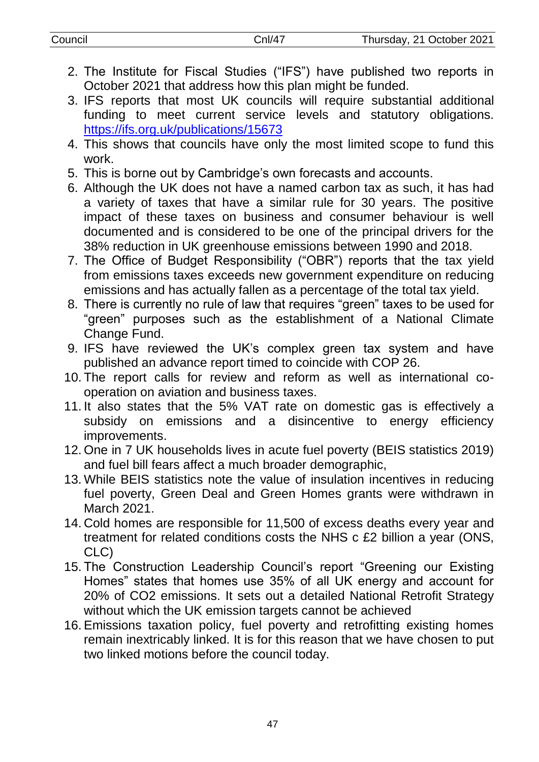- 2. The Institute for Fiscal Studies ("IFS") have published two reports in October 2021 that address how this plan might be funded.
- 3. IFS reports that most UK councils will require substantial additional funding to meet current service levels and statutory obligations. <https://ifs.org.uk/publications/15673>
- 4. This shows that councils have only the most limited scope to fund this work.
- 5. This is borne out by Cambridge's own forecasts and accounts.
- 6. Although the UK does not have a named carbon tax as such, it has had a variety of taxes that have a similar rule for 30 years. The positive impact of these taxes on business and consumer behaviour is well documented and is considered to be one of the principal drivers for the 38% reduction in UK greenhouse emissions between 1990 and 2018.
- 7. The Office of Budget Responsibility ("OBR") reports that the tax yield from emissions taxes exceeds new government expenditure on reducing emissions and has actually fallen as a percentage of the total tax yield.
- 8. There is currently no rule of law that requires "green" taxes to be used for "green" purposes such as the establishment of a National Climate Change Fund.
- 9. IFS have reviewed the UK's complex green tax system and have published an advance report timed to coincide with COP 26.
- 10. The report calls for review and reform as well as international cooperation on aviation and business taxes.
- 11. It also states that the 5% VAT rate on domestic gas is effectively a subsidy on emissions and a disincentive to energy efficiency improvements.
- 12. One in 7 UK households lives in acute fuel poverty (BEIS statistics 2019) and fuel bill fears affect a much broader demographic,
- 13. While BEIS statistics note the value of insulation incentives in reducing fuel poverty, Green Deal and Green Homes grants were withdrawn in March 2021.
- 14. Cold homes are responsible for 11,500 of excess deaths every year and treatment for related conditions costs the NHS c £2 billion a year (ONS, CLC)
- 15. The Construction Leadership Council's report "Greening our Existing Homes" states that homes use 35% of all UK energy and account for 20% of CO2 emissions. It sets out a detailed National Retrofit Strategy without which the UK emission targets cannot be achieved
- 16.Emissions taxation policy, fuel poverty and retrofitting existing homes remain inextricably linked. It is for this reason that we have chosen to put two linked motions before the council today.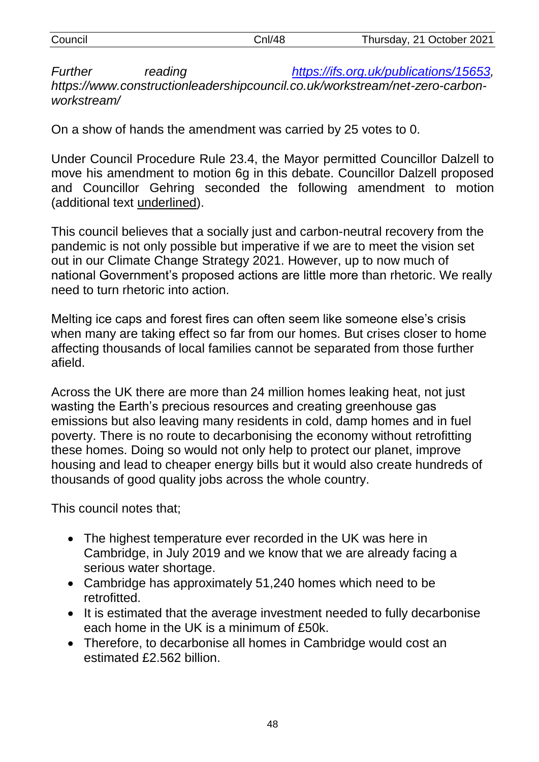| Council                                                                     |         | CnI/48 | Thursday, 21 October 2021              |  |
|-----------------------------------------------------------------------------|---------|--------|----------------------------------------|--|
| Further                                                                     | reading |        | https://ifs.org.uk/publications/15653, |  |
| https://www.constructionleadershipcouncil.co.uk/workstream/net-zero-carbon- |         |        |                                        |  |
| workstream/                                                                 |         |        |                                        |  |

On a show of hands the amendment was carried by 25 votes to 0.

Under Council Procedure Rule 23.4, the Mayor permitted Councillor Dalzell to move his amendment to motion 6g in this debate. Councillor Dalzell proposed and Councillor Gehring seconded the following amendment to motion (additional text underlined).

This council believes that a socially just and carbon-neutral recovery from the pandemic is not only possible but imperative if we are to meet the vision set out in our Climate Change Strategy 2021. However, up to now much of national Government's proposed actions are little more than rhetoric. We really need to turn rhetoric into action.

Melting ice caps and forest fires can often seem like someone else's crisis when many are taking effect so far from our homes. But crises closer to home affecting thousands of local families cannot be separated from those further afield.

Across the UK there are more than 24 million homes leaking heat, not just wasting the Earth's precious resources and creating greenhouse gas emissions but also leaving many residents in cold, damp homes and in fuel poverty. There is no route to decarbonising the economy without retrofitting these homes. Doing so would not only help to protect our planet, improve housing and lead to cheaper energy bills but it would also create hundreds of thousands of good quality jobs across the whole country.

This council notes that;

- The highest temperature ever recorded in the UK was here in Cambridge, in July 2019 and we know that we are already facing a serious water shortage.
- Cambridge has approximately 51,240 homes which need to be retrofitted.
- It is estimated that the average investment needed to fully decarbonise each home in the UK is a minimum of £50k.
- Therefore, to decarbonise all homes in Cambridge would cost an estimated £2.562 billion.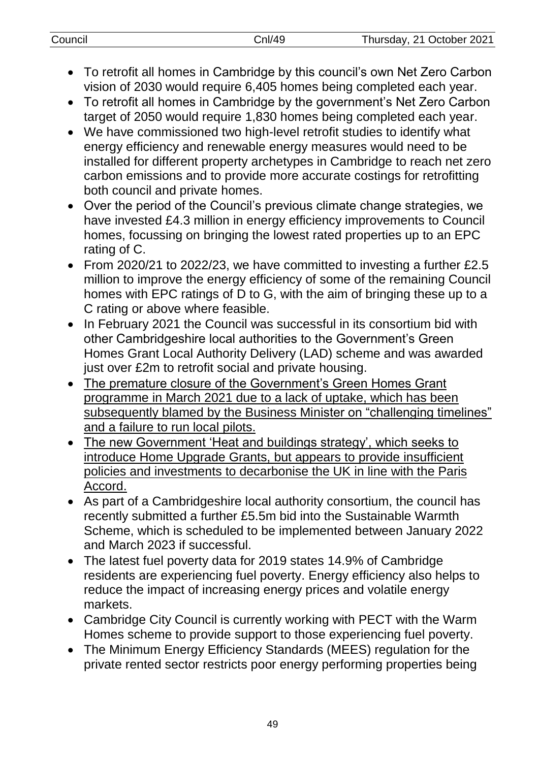| Council | Cnl/49 | Thursday, 21 October 2021 |
|---------|--------|---------------------------|
|         |        |                           |

- To retrofit all homes in Cambridge by this council's own Net Zero Carbon vision of 2030 would require 6,405 homes being completed each year.
- To retrofit all homes in Cambridge by the government's Net Zero Carbon target of 2050 would require 1,830 homes being completed each year.
- We have commissioned two high-level retrofit studies to identify what energy efficiency and renewable energy measures would need to be installed for different property archetypes in Cambridge to reach net zero carbon emissions and to provide more accurate costings for retrofitting both council and private homes.
- Over the period of the Council's previous climate change strategies, we have invested £4.3 million in energy efficiency improvements to Council homes, focussing on bringing the lowest rated properties up to an EPC rating of C.
- From 2020/21 to 2022/23, we have committed to investing a further £2.5 million to improve the energy efficiency of some of the remaining Council homes with EPC ratings of D to G, with the aim of bringing these up to a C rating or above where feasible.
- In February 2021 the Council was successful in its consortium bid with other Cambridgeshire local authorities to the Government's Green Homes Grant Local Authority Delivery (LAD) scheme and was awarded just over £2m to retrofit social and private housing.
- The premature closure of the Government's Green Homes Grant programme in March 2021 due to a lack of uptake, which has been subsequently blamed by the Business Minister on "challenging timelines" and a failure to run local pilots.
- The new Government 'Heat and buildings strategy', which seeks to introduce Home Upgrade Grants, but appears to provide insufficient policies and investments to decarbonise the UK in line with the Paris Accord.
- As part of a Cambridgeshire local authority consortium, the council has recently submitted a further £5.5m bid into the Sustainable Warmth Scheme, which is scheduled to be implemented between January 2022 and March 2023 if successful.
- The latest fuel poverty data for 2019 states 14.9% of Cambridge residents are experiencing fuel poverty. Energy efficiency also helps to reduce the impact of increasing energy prices and volatile energy markets.
- Cambridge City Council is currently working with PECT with the Warm Homes scheme to provide support to those experiencing fuel poverty.
- The Minimum Energy Efficiency Standards (MEES) regulation for the private rented sector restricts poor energy performing properties being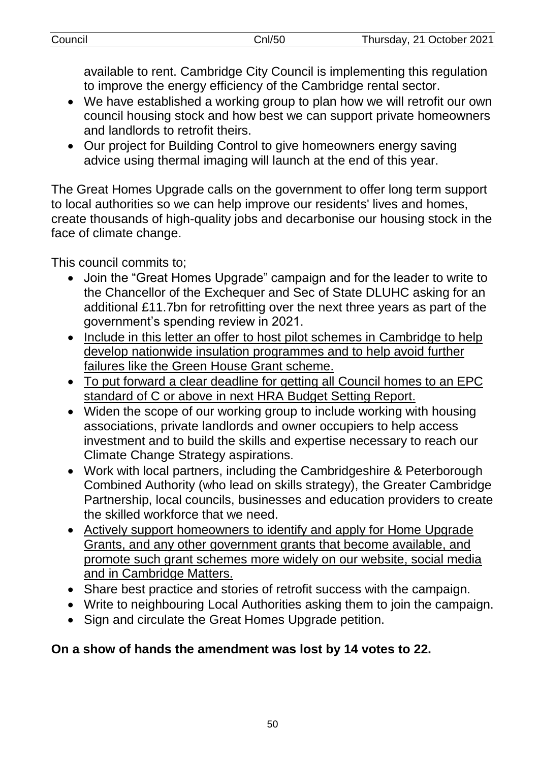available to rent. Cambridge City Council is implementing this regulation to improve the energy efficiency of the Cambridge rental sector.

- We have established a working group to plan how we will retrofit our own council housing stock and how best we can support private homeowners and landlords to retrofit theirs.
- Our project for Building Control to give homeowners energy saving advice using thermal imaging will launch at the end of this year.

The Great Homes Upgrade calls on the government to offer long term support to local authorities so we can help improve our residents' lives and homes, create thousands of high-quality jobs and decarbonise our housing stock in the face of climate change.

This council commits to;

- Join the "Great Homes Upgrade" campaign and for the leader to write to the Chancellor of the Exchequer and Sec of State DLUHC asking for an additional £11.7bn for retrofitting over the next three years as part of the government's spending review in 2021.
- Include in this letter an offer to host pilot schemes in Cambridge to help develop nationwide insulation programmes and to help avoid further failures like the Green House Grant scheme.
- To put forward a clear deadline for getting all Council homes to an EPC standard of C or above in next HRA Budget Setting Report.
- Widen the scope of our working group to include working with housing associations, private landlords and owner occupiers to help access investment and to build the skills and expertise necessary to reach our Climate Change Strategy aspirations.
- Work with local partners, including the Cambridgeshire & Peterborough Combined Authority (who lead on skills strategy), the Greater Cambridge Partnership, local councils, businesses and education providers to create the skilled workforce that we need.
- Actively support homeowners to identify and apply for Home Upgrade Grants, and any other government grants that become available, and promote such grant schemes more widely on our website, social media and in Cambridge Matters.
- Share best practice and stories of retrofit success with the campaign.
- Write to neighbouring Local Authorities asking them to join the campaign.
- Sign and circulate the Great Homes Upgrade petition.

# **On a show of hands the amendment was lost by 14 votes to 22.**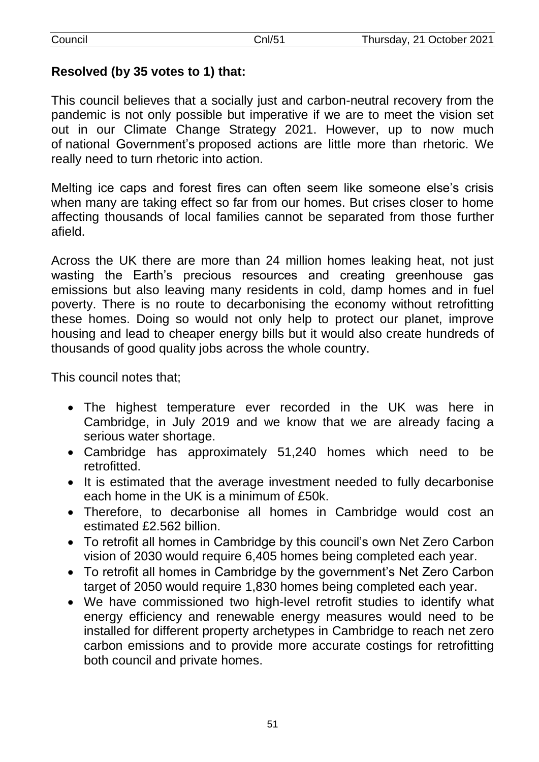# **Resolved (by 35 votes to 1) that:**

This council believes that a socially just and carbon-neutral recovery from the pandemic is not only possible but imperative if we are to meet the vision set out in our Climate Change Strategy 2021. However, up to now much of national Government's proposed actions are little more than rhetoric. We really need to turn rhetoric into action.

Melting ice caps and forest fires can often seem like someone else's crisis when many are taking effect so far from our homes. But crises closer to home affecting thousands of local families cannot be separated from those further afield.

Across the UK there are more than 24 million homes leaking heat, not just wasting the Earth's precious resources and creating greenhouse gas emissions but also leaving many residents in cold, damp homes and in fuel poverty. There is no route to decarbonising the economy without retrofitting these homes. Doing so would not only help to protect our planet, improve housing and lead to cheaper energy bills but it would also create hundreds of thousands of good quality jobs across the whole country.

This council notes that;

- The highest temperature ever recorded in the UK was here in Cambridge, in July 2019 and we know that we are already facing a serious water shortage.
- Cambridge has approximately 51,240 homes which need to be retrofitted.
- It is estimated that the average investment needed to fully decarbonise each home in the UK is a minimum of £50k.
- Therefore, to decarbonise all homes in Cambridge would cost an estimated £2.562 billion.
- To retrofit all homes in Cambridge by this council's own Net Zero Carbon vision of 2030 would require 6,405 homes being completed each year.
- To retrofit all homes in Cambridge by the government's Net Zero Carbon target of 2050 would require 1,830 homes being completed each year.
- We have commissioned two high-level retrofit studies to identify what energy efficiency and renewable energy measures would need to be installed for different property archetypes in Cambridge to reach net zero carbon emissions and to provide more accurate costings for retrofitting both council and private homes.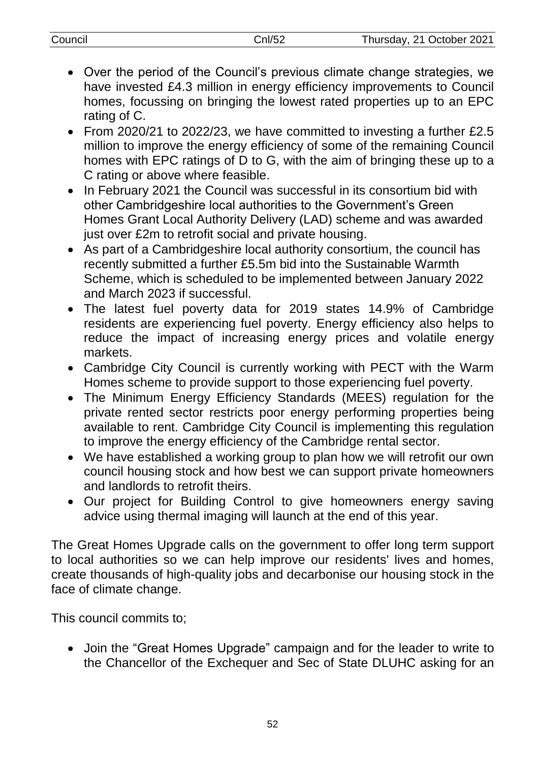| Council | Cnl/52 | Thursday, 21 October 2021 |
|---------|--------|---------------------------|
|         |        |                           |

- Over the period of the Council's previous climate change strategies, we have invested £4.3 million in energy efficiency improvements to Council homes, focussing on bringing the lowest rated properties up to an EPC rating of C.
- From 2020/21 to 2022/23, we have committed to investing a further £2.5 million to improve the energy efficiency of some of the remaining Council homes with EPC ratings of D to G, with the aim of bringing these up to a C rating or above where feasible.
- In February 2021 the Council was successful in its consortium bid with other Cambridgeshire local authorities to the Government's Green Homes Grant Local Authority Delivery (LAD) scheme and was awarded just over £2m to retrofit social and private housing.
- As part of a Cambridgeshire local authority consortium, the council has recently submitted a further £5.5m bid into the Sustainable Warmth Scheme, which is scheduled to be implemented between January 2022 and March 2023 if successful.
- The latest fuel poverty data for 2019 states 14.9% of Cambridge residents are experiencing fuel poverty. Energy efficiency also helps to reduce the impact of increasing energy prices and volatile energy markets.
- Cambridge City Council is currently working with PECT with the Warm Homes scheme to provide support to those experiencing fuel poverty.
- The Minimum Energy Efficiency Standards (MEES) regulation for the private rented sector restricts poor energy performing properties being available to rent. Cambridge City Council is implementing this regulation to improve the energy efficiency of the Cambridge rental sector.
- We have established a working group to plan how we will retrofit our own council housing stock and how best we can support private homeowners and landlords to retrofit theirs.
- Our project for Building Control to give homeowners energy saving advice using thermal imaging will launch at the end of this year.

The Great Homes Upgrade calls on the government to offer long term support to local authorities so we can help improve our residents' lives and homes, create thousands of high-quality jobs and decarbonise our housing stock in the face of climate change.

This council commits to;

 Join the "Great Homes Upgrade" campaign and for the leader to write to the Chancellor of the Exchequer and Sec of State DLUHC asking for an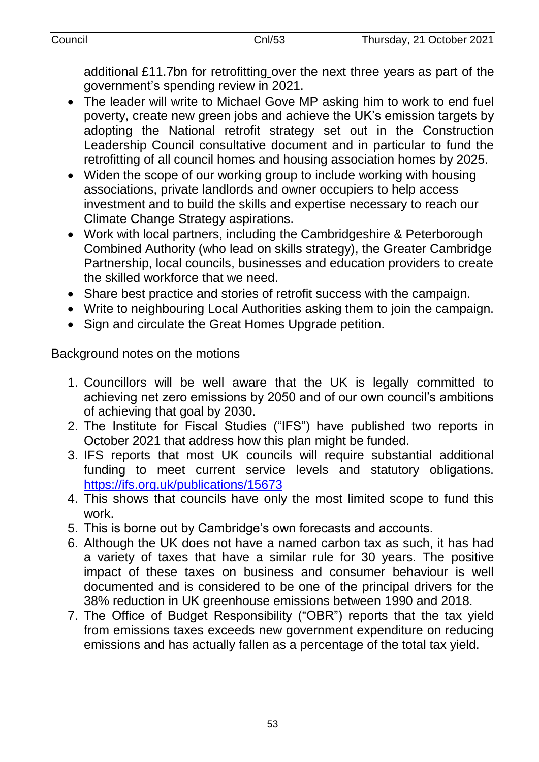additional £11.7bn for retrofitting over the next three years as part of the government's spending review in 2021.

- The leader will write to Michael Gove MP asking him to work to end fuel poverty, create new green jobs and achieve the UK's emission targets by adopting the National retrofit strategy set out in the Construction Leadership Council consultative document and in particular to fund the retrofitting of all council homes and housing association homes by 2025.
- Widen the scope of our working group to include working with housing associations, private landlords and owner occupiers to help access investment and to build the skills and expertise necessary to reach our Climate Change Strategy aspirations.
- Work with local partners, including the Cambridgeshire & Peterborough Combined Authority (who lead on skills strategy), the Greater Cambridge Partnership, local councils, businesses and education providers to create the skilled workforce that we need.
- Share best practice and stories of retrofit success with the campaign.
- Write to neighbouring Local Authorities asking them to join the campaign.
- Sign and circulate the Great Homes Upgrade petition.

Background notes on the motions

- 1. Councillors will be well aware that the UK is legally committed to achieving net zero emissions by 2050 and of our own council's ambitions of achieving that goal by 2030.
- 2. The Institute for Fiscal Studies ("IFS") have published two reports in October 2021 that address how this plan might be funded.
- 3. IFS reports that most UK councils will require substantial additional funding to meet current service levels and statutory obligations. <https://ifs.org.uk/publications/15673>
- 4. This shows that councils have only the most limited scope to fund this work.
- 5. This is borne out by Cambridge's own forecasts and accounts.
- 6. Although the UK does not have a named carbon tax as such, it has had a variety of taxes that have a similar rule for 30 years. The positive impact of these taxes on business and consumer behaviour is well documented and is considered to be one of the principal drivers for the 38% reduction in UK greenhouse emissions between 1990 and 2018.
- 7. The Office of Budget Responsibility ("OBR") reports that the tax yield from emissions taxes exceeds new government expenditure on reducing emissions and has actually fallen as a percentage of the total tax yield.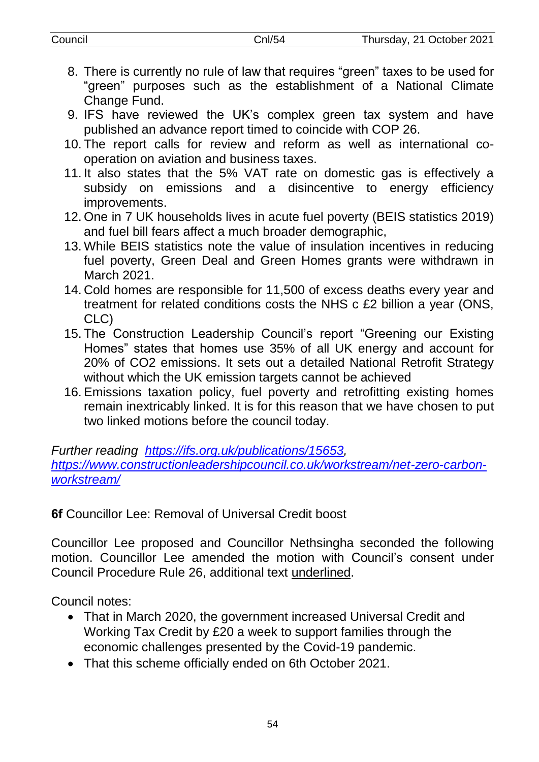- 8. There is currently no rule of law that requires "green" taxes to be used for "green" purposes such as the establishment of a National Climate Change Fund.
- 9. IFS have reviewed the UK's complex green tax system and have published an advance report timed to coincide with COP 26.
- 10. The report calls for review and reform as well as international cooperation on aviation and business taxes.
- 11. It also states that the 5% VAT rate on domestic gas is effectively a subsidy on emissions and a disincentive to energy efficiency improvements.
- 12. One in 7 UK households lives in acute fuel poverty (BEIS statistics 2019) and fuel bill fears affect a much broader demographic,
- 13. While BEIS statistics note the value of insulation incentives in reducing fuel poverty, Green Deal and Green Homes grants were withdrawn in March 2021.
- 14. Cold homes are responsible for 11,500 of excess deaths every year and treatment for related conditions costs the NHS c £2 billion a year (ONS, CLC)
- 15. The Construction Leadership Council's report "Greening our Existing Homes" states that homes use 35% of all UK energy and account for 20% of CO2 emissions. It sets out a detailed National Retrofit Strategy without which the UK emission targets cannot be achieved
- 16.Emissions taxation policy, fuel poverty and retrofitting existing homes remain inextricably linked. It is for this reason that we have chosen to put two linked motions before the council today.

#### *Further reading [https://ifs.org.uk/publications/15653,](https://ifs.org.uk/publications/15653) [https://www.constructionleadershipcouncil.co.uk/workstream/net-zero-carbon](https://www.constructionleadershipcouncil.co.uk/workstream/net-zero-carbon-workstream/)[workstream/](https://www.constructionleadershipcouncil.co.uk/workstream/net-zero-carbon-workstream/)*

**6f** Councillor Lee: Removal of Universal Credit boost

Councillor Lee proposed and Councillor Nethsingha seconded the following motion. Councillor Lee amended the motion with Council's consent under Council Procedure Rule 26, additional text underlined.

Council notes:

- That in March 2020, the government increased Universal Credit and Working Tax Credit by £20 a week to support families through the economic challenges presented by the Covid-19 pandemic.
- That this scheme officially ended on 6th October 2021.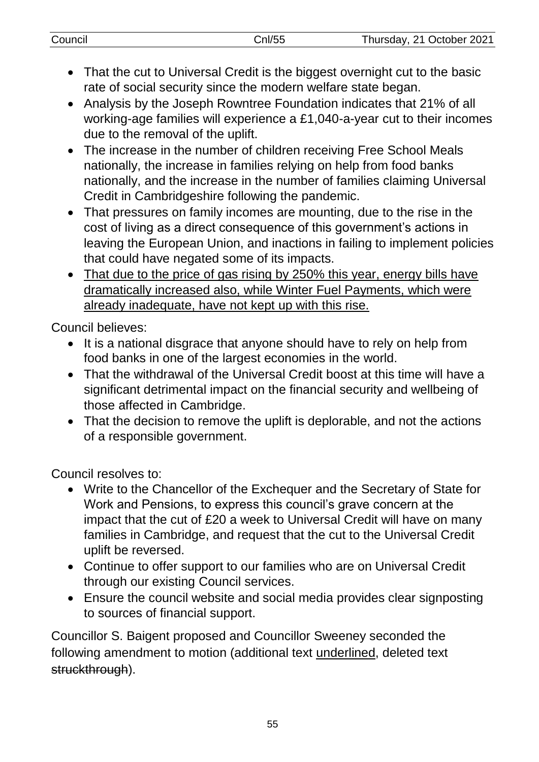| Council | $\binom{5}{1}$ | Thursday, 21 October 2021 |
|---------|----------------|---------------------------|
|         |                |                           |

- That the cut to Universal Credit is the biggest overnight cut to the basic rate of social security since the modern welfare state began.
- Analysis by the Joseph Rowntree Foundation indicates that 21% of all working-age families will experience a £1,040-a-year cut to their incomes due to the removal of the uplift.
- The increase in the number of children receiving Free School Meals nationally, the increase in families relying on help from food banks nationally, and the increase in the number of families claiming Universal Credit in Cambridgeshire following the pandemic.
- That pressures on family incomes are mounting, due to the rise in the cost of living as a direct consequence of this government's actions in leaving the European Union, and inactions in failing to implement policies that could have negated some of its impacts.
- That due to the price of gas rising by 250% this year, energy bills have dramatically increased also, while Winter Fuel Payments, which were already inadequate, have not kept up with this rise.

Council believes:

- It is a national disgrace that anyone should have to rely on help from food banks in one of the largest economies in the world.
- That the withdrawal of the Universal Credit boost at this time will have a significant detrimental impact on the financial security and wellbeing of those affected in Cambridge.
- That the decision to remove the uplift is deplorable, and not the actions of a responsible government.

Council resolves to:

- Write to the Chancellor of the Exchequer and the Secretary of State for Work and Pensions, to express this council's grave concern at the impact that the cut of £20 a week to Universal Credit will have on many families in Cambridge, and request that the cut to the Universal Credit uplift be reversed.
- Continue to offer support to our families who are on Universal Credit through our existing Council services.
- Ensure the council website and social media provides clear signposting to sources of financial support.

Councillor S. Baigent proposed and Councillor Sweeney seconded the following amendment to motion (additional text underlined, deleted text struckthrough).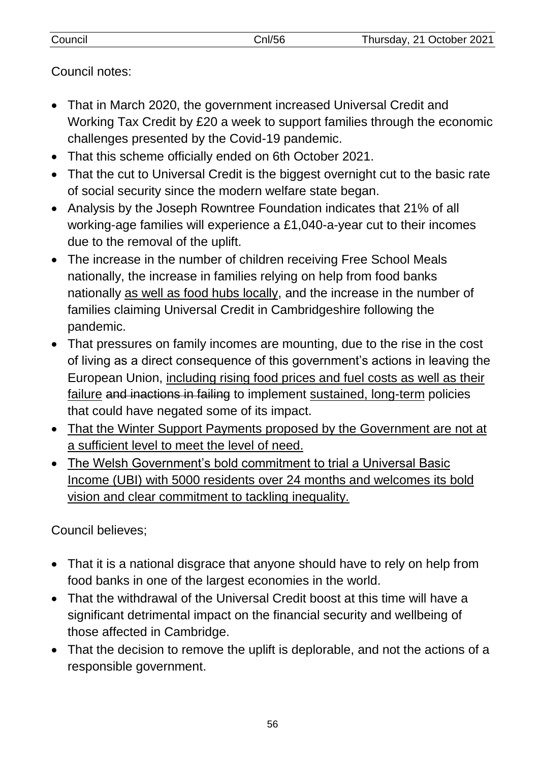| Council | Cnl/56 | Thursday, 21 October 2021 |
|---------|--------|---------------------------|
|         |        |                           |

Council notes:

- That in March 2020, the government increased Universal Credit and Working Tax Credit by £20 a week to support families through the economic challenges presented by the Covid-19 pandemic.
- That this scheme officially ended on 6th October 2021.
- That the cut to Universal Credit is the biggest overnight cut to the basic rate of social security since the modern welfare state began.
- Analysis by the Joseph Rowntree Foundation indicates that 21% of all working-age families will experience a £1,040-a-year cut to their incomes due to the removal of the uplift.
- The increase in the number of children receiving Free School Meals nationally, the increase in families relying on help from food banks nationally as well as food hubs locally, and the increase in the number of families claiming Universal Credit in Cambridgeshire following the pandemic.
- That pressures on family incomes are mounting, due to the rise in the cost of living as a direct consequence of this government's actions in leaving the European Union, including rising food prices and fuel costs as well as their failure and inactions in failing to implement sustained, long-term policies that could have negated some of its impact.
- That the Winter Support Payments proposed by the Government are not at a sufficient level to meet the level of need.
- The Welsh Government's bold commitment to trial a Universal Basic Income (UBI) with 5000 residents over 24 months and welcomes its bold vision and clear commitment to tackling inequality.

Council believes;

- That it is a national disgrace that anyone should have to rely on help from food banks in one of the largest economies in the world.
- That the withdrawal of the Universal Credit boost at this time will have a significant detrimental impact on the financial security and wellbeing of those affected in Cambridge.
- That the decision to remove the uplift is deplorable, and not the actions of a responsible government.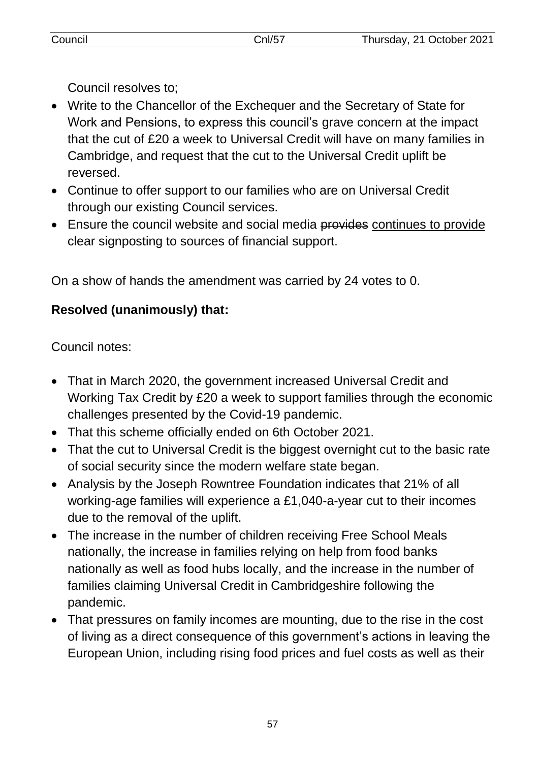Council resolves to;

- Write to the Chancellor of the Exchequer and the Secretary of State for Work and Pensions, to express this council's grave concern at the impact that the cut of £20 a week to Universal Credit will have on many families in Cambridge, and request that the cut to the Universal Credit uplift be reversed.
- Continue to offer support to our families who are on Universal Credit through our existing Council services.
- Ensure the council website and social media provides continues to provide clear signposting to sources of financial support.

On a show of hands the amendment was carried by 24 votes to 0.

# **Resolved (unanimously) that:**

Council notes:

- That in March 2020, the government increased Universal Credit and Working Tax Credit by £20 a week to support families through the economic challenges presented by the Covid-19 pandemic.
- That this scheme officially ended on 6th October 2021.
- That the cut to Universal Credit is the biggest overnight cut to the basic rate of social security since the modern welfare state began.
- Analysis by the Joseph Rowntree Foundation indicates that 21% of all working-age families will experience a £1,040-a-year cut to their incomes due to the removal of the uplift.
- The increase in the number of children receiving Free School Meals nationally, the increase in families relying on help from food banks nationally as well as food hubs locally, and the increase in the number of families claiming Universal Credit in Cambridgeshire following the pandemic.
- That pressures on family incomes are mounting, due to the rise in the cost of living as a direct consequence of this government's actions in leaving the European Union, including rising food prices and fuel costs as well as their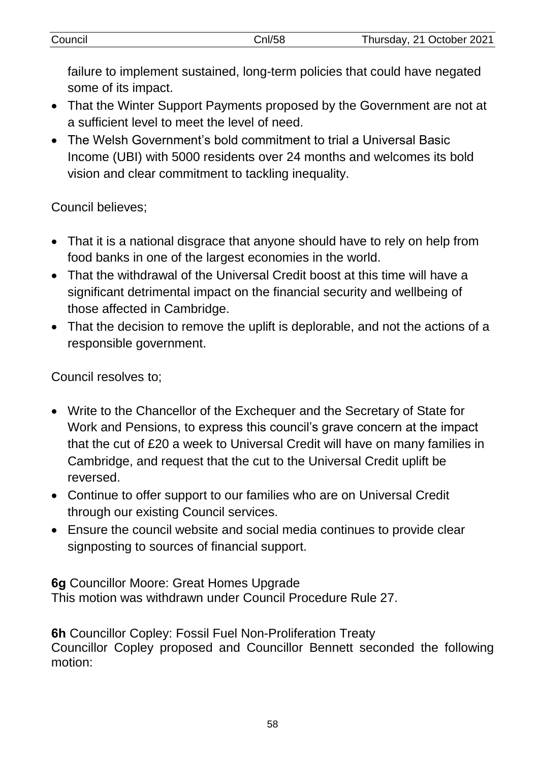| Council | CnI/58 | Thursday, 21 October 2021 |
|---------|--------|---------------------------|
|         |        |                           |

failure to implement sustained, long-term policies that could have negated some of its impact.

- That the Winter Support Payments proposed by the Government are not at a sufficient level to meet the level of need.
- The Welsh Government's bold commitment to trial a Universal Basic Income (UBI) with 5000 residents over 24 months and welcomes its bold vision and clear commitment to tackling inequality.

Council believes;

- That it is a national disgrace that anyone should have to rely on help from food banks in one of the largest economies in the world.
- That the withdrawal of the Universal Credit boost at this time will have a significant detrimental impact on the financial security and wellbeing of those affected in Cambridge.
- That the decision to remove the uplift is deplorable, and not the actions of a responsible government.

Council resolves to;

- Write to the Chancellor of the Exchequer and the Secretary of State for Work and Pensions, to express this council's grave concern at the impact that the cut of £20 a week to Universal Credit will have on many families in Cambridge, and request that the cut to the Universal Credit uplift be reversed.
- Continue to offer support to our families who are on Universal Credit through our existing Council services.
- Ensure the council website and social media continues to provide clear signposting to sources of financial support.

**6g** Councillor Moore: Great Homes Upgrade This motion was withdrawn under Council Procedure Rule 27.

**6h** Councillor Copley: Fossil Fuel Non-Proliferation Treaty Councillor Copley proposed and Councillor Bennett seconded the following motion: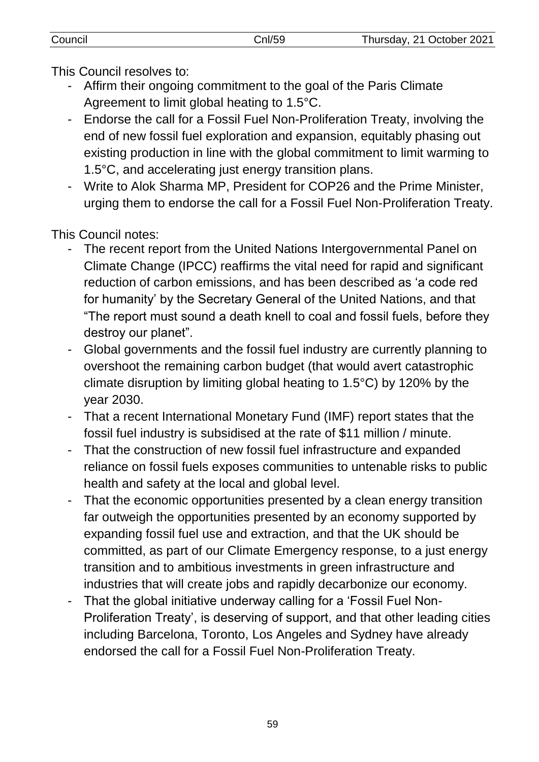This Council resolves to:

- Affirm their ongoing commitment to the goal of the Paris Climate Agreement to limit global heating to 1.5°C.
- Endorse the call for a Fossil Fuel Non-Proliferation Treaty, involving the end of new fossil fuel exploration and expansion, equitably phasing out existing production in line with the global commitment to limit warming to 1.5°C, and accelerating just energy transition plans.
- Write to Alok Sharma MP, President for COP26 and the Prime Minister, urging them to endorse the call for a Fossil Fuel Non-Proliferation Treaty.

This Council notes:

- The recent report from the United Nations Intergovernmental Panel on Climate Change (IPCC) reaffirms the vital need for rapid and significant reduction of carbon emissions, and has been described as 'a code red for humanity' by the Secretary General of the United Nations, and that "The report must sound a death knell to coal and fossil fuels, before they destroy our planet".
- Global governments and the fossil fuel industry are currently planning to overshoot the remaining carbon budget (that would avert catastrophic climate disruption by limiting global heating to 1.5°C) by 120% by the year 2030.
- That a recent International Monetary Fund (IMF) report states that the fossil fuel industry is subsidised at the rate of \$11 million / minute.
- That the construction of new fossil fuel infrastructure and expanded reliance on fossil fuels exposes communities to untenable risks to public health and safety at the local and global level.
- That the economic opportunities presented by a clean energy transition far outweigh the opportunities presented by an economy supported by expanding fossil fuel use and extraction, and that the UK should be committed, as part of our Climate Emergency response, to a just energy transition and to ambitious investments in green infrastructure and industries that will create jobs and rapidly decarbonize our economy.
- That the global initiative underway calling for a 'Fossil Fuel Non-Proliferation Treaty', is deserving of support, and that other leading cities including Barcelona, Toronto, Los Angeles and Sydney have already endorsed the call for a Fossil Fuel Non-Proliferation Treaty.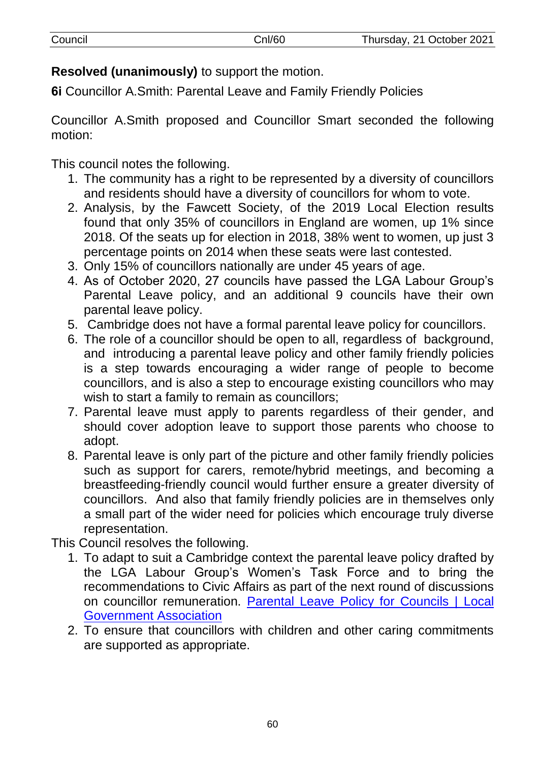| Council | Cnl/60 | Thursday, 21 October 2021 |
|---------|--------|---------------------------|
|         |        |                           |

**Resolved (unanimously)** to support the motion.

**6i** Councillor A.Smith: Parental Leave and Family Friendly Policies

Councillor A.Smith proposed and Councillor Smart seconded the following motion:

This council notes the following.

- 1. The community has a right to be represented by a diversity of councillors and residents should have a diversity of councillors for whom to vote.
- 2. Analysis, by the Fawcett Society, of the 2019 Local Election results found that only 35% of councillors in England are women, up 1% since 2018. Of the seats up for election in 2018, 38% went to women, up just 3 percentage points on 2014 when these seats were last contested.
- 3. Only 15% of councillors nationally are under 45 years of age.
- 4. As of October 2020, 27 councils have passed the LGA Labour Group's Parental Leave policy, and an additional 9 councils have their own parental leave policy.
- 5. Cambridge does not have a formal parental leave policy for councillors.
- 6. The role of a councillor should be open to all, regardless of background, and introducing a parental leave policy and other family friendly policies is a step towards encouraging a wider range of people to become councillors, and is also a step to encourage existing councillors who may wish to start a family to remain as councillors;
- 7. Parental leave must apply to parents regardless of their gender, and should cover adoption leave to support those parents who choose to adopt.
- 8. Parental leave is only part of the picture and other family friendly policies such as support for carers, remote/hybrid meetings, and becoming a breastfeeding-friendly council would further ensure a greater diversity of councillors. And also that family friendly policies are in themselves only a small part of the wider need for policies which encourage truly diverse representation.

This Council resolves the following.

- 1. To adapt to suit a Cambridge context the parental leave policy drafted by the LGA Labour Group's Women's Task Force and to bring the recommendations to Civic Affairs as part of the next round of discussions on councillor remuneration. [Parental Leave Policy for Councils | Local](https://local.gov.uk/parental-leave-policy-councils)  [Government Association](https://local.gov.uk/parental-leave-policy-councils)
- 2. To ensure that councillors with children and other caring commitments are supported as appropriate.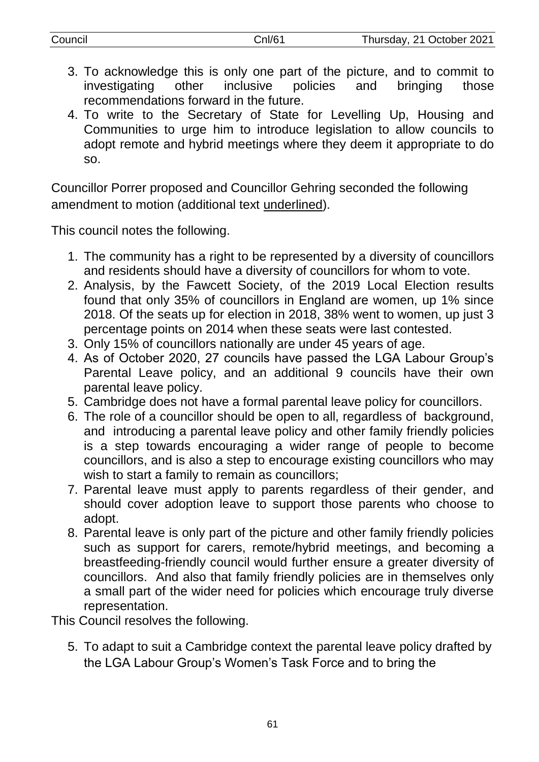| Council | Cnl/61 | Thursday, 21 October 2021 |
|---------|--------|---------------------------|
|         |        |                           |

- 3. To acknowledge this is only one part of the picture, and to commit to investigating other inclusive policies and bringing those recommendations forward in the future.
- 4. To write to the Secretary of State for Levelling Up, Housing and Communities to urge him to introduce legislation to allow councils to adopt remote and hybrid meetings where they deem it appropriate to do so.

Councillor Porrer proposed and Councillor Gehring seconded the following amendment to motion (additional text underlined).

This council notes the following.

- 1. The community has a right to be represented by a diversity of councillors and residents should have a diversity of councillors for whom to vote.
- 2. Analysis, by the Fawcett Society, of the 2019 Local Election results found that only 35% of councillors in England are women, up 1% since 2018. Of the seats up for election in 2018, 38% went to women, up just 3 percentage points on 2014 when these seats were last contested.
- 3. Only 15% of councillors nationally are under 45 years of age.
- 4. As of October 2020, 27 councils have passed the LGA Labour Group's Parental Leave policy, and an additional 9 councils have their own parental leave policy.
- 5. Cambridge does not have a formal parental leave policy for councillors.
- 6. The role of a councillor should be open to all, regardless of background, and introducing a parental leave policy and other family friendly policies is a step towards encouraging a wider range of people to become councillors, and is also a step to encourage existing councillors who may wish to start a family to remain as councillors;
- 7. Parental leave must apply to parents regardless of their gender, and should cover adoption leave to support those parents who choose to adopt.
- 8. Parental leave is only part of the picture and other family friendly policies such as support for carers, remote/hybrid meetings, and becoming a breastfeeding-friendly council would further ensure a greater diversity of councillors. And also that family friendly policies are in themselves only a small part of the wider need for policies which encourage truly diverse representation.

This Council resolves the following.

5. To adapt to suit a Cambridge context the parental leave policy drafted by the LGA Labour Group's Women's Task Force and to bring the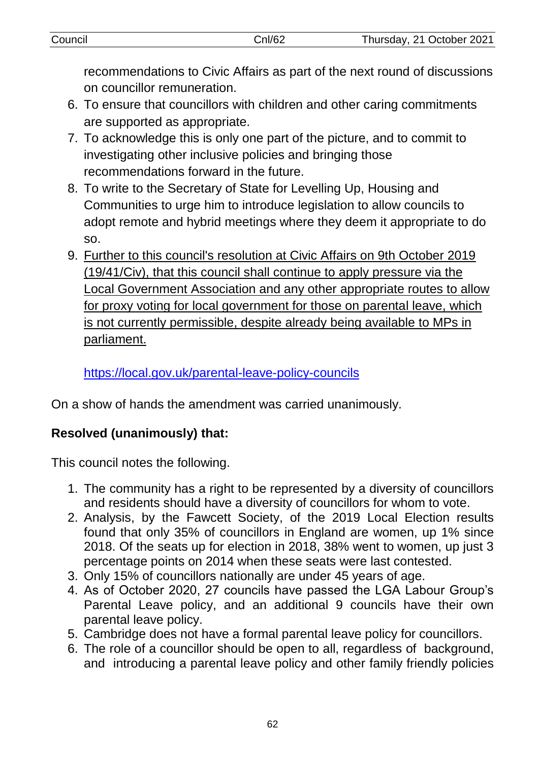| Council | Cnl/62 | Thursday, 21 October 2021 |
|---------|--------|---------------------------|
|         |        |                           |

recommendations to Civic Affairs as part of the next round of discussions on councillor remuneration.

- 6. To ensure that councillors with children and other caring commitments are supported as appropriate.
- 7. To acknowledge this is only one part of the picture, and to commit to investigating other inclusive policies and bringing those recommendations forward in the future.
- 8. To write to the Secretary of State for Levelling Up, Housing and Communities to urge him to introduce legislation to allow councils to adopt remote and hybrid meetings where they deem it appropriate to do so.
- 9. Further to this council's resolution at Civic Affairs on 9th October 2019 (19/41/Civ), that this council shall continue to apply pressure via the Local Government Association and any other appropriate routes to allow for proxy voting for local government for those on parental leave, which is not currently permissible, despite already being available to MPs in parliament.

<https://local.gov.uk/parental-leave-policy-councils>

On a show of hands the amendment was carried unanimously.

# **Resolved (unanimously) that:**

This council notes the following.

- 1. The community has a right to be represented by a diversity of councillors and residents should have a diversity of councillors for whom to vote.
- 2. Analysis, by the Fawcett Society, of the 2019 Local Election results found that only 35% of councillors in England are women, up 1% since 2018. Of the seats up for election in 2018, 38% went to women, up just 3 percentage points on 2014 when these seats were last contested.
- 3. Only 15% of councillors nationally are under 45 years of age.
- 4. As of October 2020, 27 councils have passed the LGA Labour Group's Parental Leave policy, and an additional 9 councils have their own parental leave policy.
- 5. Cambridge does not have a formal parental leave policy for councillors.
- 6. The role of a councillor should be open to all, regardless of background, and introducing a parental leave policy and other family friendly policies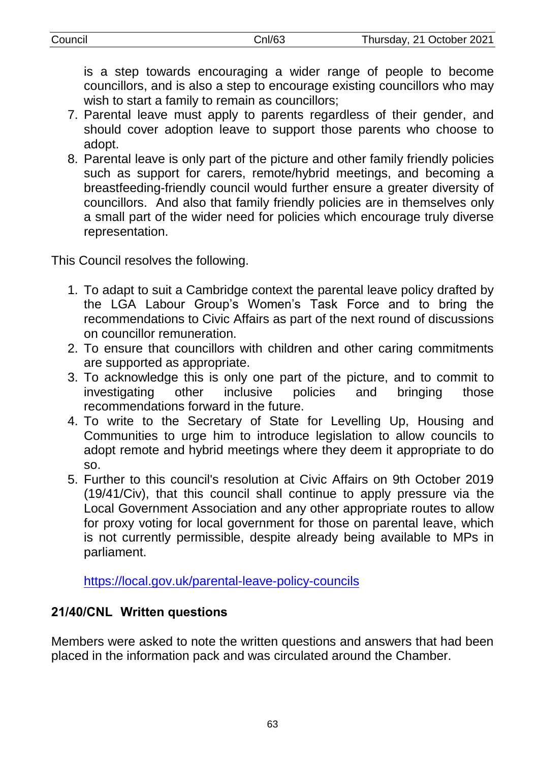is a step towards encouraging a wider range of people to become councillors, and is also a step to encourage existing councillors who may wish to start a family to remain as councillors;

- 7. Parental leave must apply to parents regardless of their gender, and should cover adoption leave to support those parents who choose to adopt.
- 8. Parental leave is only part of the picture and other family friendly policies such as support for carers, remote/hybrid meetings, and becoming a breastfeeding-friendly council would further ensure a greater diversity of councillors. And also that family friendly policies are in themselves only a small part of the wider need for policies which encourage truly diverse representation.

This Council resolves the following.

- 1. To adapt to suit a Cambridge context the parental leave policy drafted by the LGA Labour Group's Women's Task Force and to bring the recommendations to Civic Affairs as part of the next round of discussions on councillor remuneration.
- 2. To ensure that councillors with children and other caring commitments are supported as appropriate.
- 3. To acknowledge this is only one part of the picture, and to commit to investigating other inclusive policies and bringing those recommendations forward in the future.
- 4. To write to the Secretary of State for Levelling Up, Housing and Communities to urge him to introduce legislation to allow councils to adopt remote and hybrid meetings where they deem it appropriate to do so.
- 5. Further to this council's resolution at Civic Affairs on 9th October 2019 (19/41/Civ), that this council shall continue to apply pressure via the Local Government Association and any other appropriate routes to allow for proxy voting for local government for those on parental leave, which is not currently permissible, despite already being available to MPs in parliament.

<https://local.gov.uk/parental-leave-policy-councils>

# **21/40/CNL Written questions**

Members were asked to note the written questions and answers that had been placed in the information pack and was circulated around the Chamber.